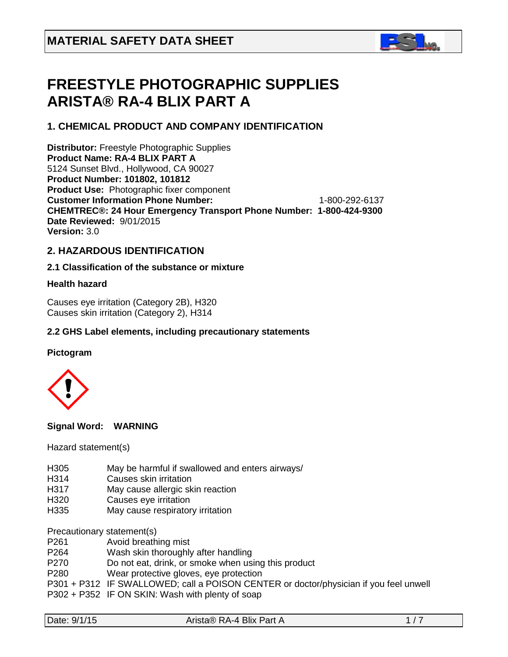

# **FREESTYLE PHOTOGRAPHIC SUPPLIES ARISTA® RA-4 BLIX PART A**

# **1. CHEMICAL PRODUCT AND COMPANY IDENTIFICATION**

**Distributor:** Freestyle Photographic Supplies **Product Name: RA-4 BLIX PART A** 5124 Sunset Blvd., Hollywood, CA 90027 **Product Number: 101802, 101812 Product Use:** Photographic fixer component **Customer Information Phone Number:** 1-800-292-6137 **CHEMTREC®: 24 Hour Emergency Transport Phone Number: 1-800-424-9300 Date Reviewed:** 9/01/2015 **Version:** 3.0

# **2. HAZARDOUS IDENTIFICATION**

# **2.1 Classification of the substance or mixture**

# **Health hazard**

Causes eye irritation (Category 2B), H320 Causes skin irritation (Category 2), H314

# **2.2 GHS Label elements, including precautionary statements**

# **Pictogram**



**Signal Word: WARNING** 

Hazard statement(s)

- H305 May be harmful if swallowed and enters airways/
- H314 Causes skin irritation
- H317 May cause allergic skin reaction
- H320 Causes eye irritation
- H335 May cause respiratory irritation

Precautionary statement(s)

- P261 Avoid breathing mist
- P264 Wash skin thoroughly after handling
- P270 Do not eat, drink, or smoke when using this product
- P280 Wear protective gloves, eye protection
- P301 + P312 IF SWALLOWED; call a POISON CENTER or doctor/physician if you feel unwell
- P302 + P352 IF ON SKIN: Wash with plenty of soap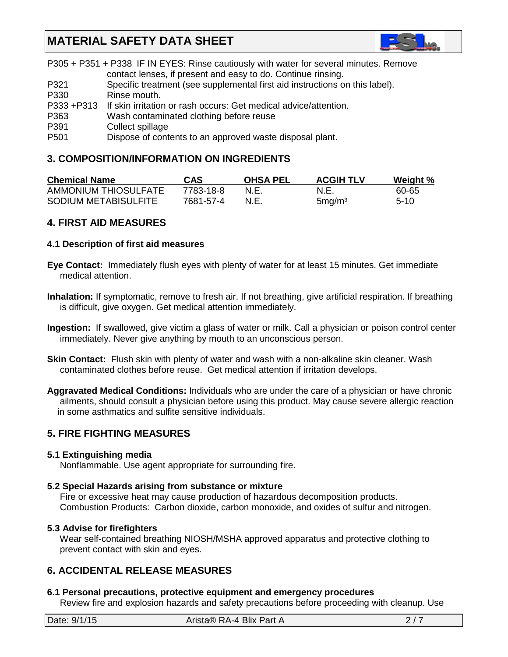

|                  | P305 + P351 + P338 IF IN EYES: Rinse cautiously with water for several minutes. Remove |
|------------------|----------------------------------------------------------------------------------------|
|                  | contact lenses, if present and easy to do. Continue rinsing.                           |
| P321             | Specific treatment (see supplemental first aid instructions on this label).            |
| P330             | Rinse mouth.                                                                           |
| P333 +P313       | If skin irritation or rash occurs: Get medical advice/attention.                       |
| P363             | Wash contaminated clothing before reuse                                                |
| P391             | Collect spillage                                                                       |
| P <sub>501</sub> | Dispose of contents to an approved waste disposal plant.                               |

# **3. COMPOSITION/INFORMATION ON INGREDIENTS**

| <b>Chemical Name</b> | CAS       | <b>OHSA PEL</b> | <b>ACGIH TLV</b>   | Weight % |
|----------------------|-----------|-----------------|--------------------|----------|
| AMMONIUM THIOSULFATE | 7783-18-8 | N.E.            | N.E.               | 60-65    |
| SODIUM METABISULFITE | 7681-57-4 | N.E.            | 5mg/m <sup>3</sup> | $5-10$   |

# **4. FIRST AID MEASURES**

#### **4.1 Description of first aid measures**

- **Eye Contact:** Immediately flush eyes with plenty of water for at least 15 minutes. Get immediate medical attention.
- **Inhalation:** If symptomatic, remove to fresh air. If not breathing, give artificial respiration. If breathing is difficult, give oxygen. Get medical attention immediately.
- **Ingestion:** If swallowed, give victim a glass of water or milk. Call a physician or poison control center immediately. Never give anything by mouth to an unconscious person.
- **Skin Contact:** Flush skin with plenty of water and wash with a non-alkaline skin cleaner. Wash contaminated clothes before reuse. Get medical attention if irritation develops.
- **Aggravated Medical Conditions:** Individuals who are under the care of a physician or have chronic ailments, should consult a physician before using this product. May cause severe allergic reaction in some asthmatics and sulfite sensitive individuals.

# **5. FIRE FIGHTING MEASURES**

#### **5.1 Extinguishing media**

Nonflammable. Use agent appropriate for surrounding fire.

#### **5.2 Special Hazards arising from substance or mixture**

 Fire or excessive heat may cause production of hazardous decomposition products. Combustion Products: Carbon dioxide, carbon monoxide, and oxides of sulfur and nitrogen.

#### **5.3 Advise for firefighters**

Wear self-contained breathing NIOSH/MSHA approved apparatus and protective clothing to prevent contact with skin and eyes.

# **6. ACCIDENTAL RELEASE MEASURES**

#### **6.1 Personal precautions, protective equipment and emergency procedures**

Review fire and explosion hazards and safety precautions before proceeding with cleanup. Use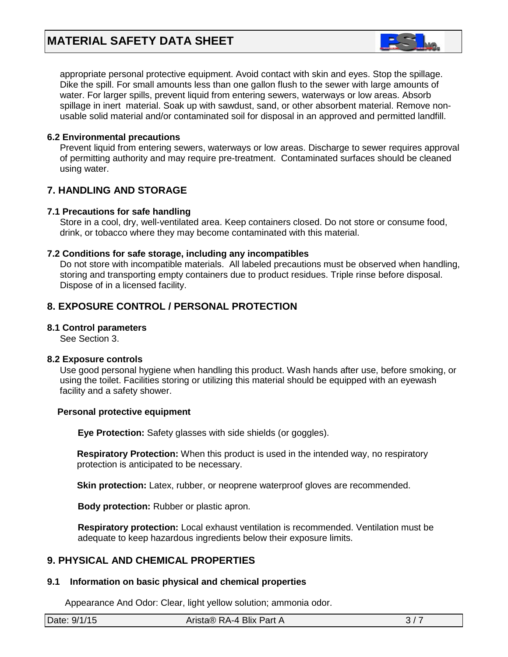

 appropriate personal protective equipment. Avoid contact with skin and eyes. Stop the spillage. Dike the spill. For small amounts less than one gallon flush to the sewer with large amounts of water. For larger spills, prevent liquid from entering sewers, waterways or low areas. Absorb spillage in inert material. Soak up with sawdust, sand, or other absorbent material. Remove non usable solid material and/or contaminated soil for disposal in an approved and permitted landfill.

### **6.2 Environmental precautions**

 Prevent liquid from entering sewers, waterways or low areas. Discharge to sewer requires approval of permitting authority and may require pre-treatment. Contaminated surfaces should be cleaned using water.

# **7. HANDLING AND STORAGE**

#### **7.1 Precautions for safe handling**

 Store in a cool, dry, well-ventilated area. Keep containers closed. Do not store or consume food, drink, or tobacco where they may become contaminated with this material.

#### **7.2 Conditions for safe storage, including any incompatibles**

Do not store with incompatible materials. All labeled precautions must be observed when handling, storing and transporting empty containers due to product residues. Triple rinse before disposal. Dispose of in a licensed facility.

# **8. EXPOSURE CONTROL / PERSONAL PROTECTION**

#### **8.1 Control parameters**

See Section 3.

#### **8.2 Exposure controls**

Use good personal hygiene when handling this product. Wash hands after use, before smoking, or using the toilet. Facilities storing or utilizing this material should be equipped with an eyewash facility and a safety shower.

#### **Personal protective equipment**

**Eye Protection:** Safety glasses with side shields (or goggles).

**Respiratory Protection:** When this product is used in the intended way, no respiratory protection is anticipated to be necessary.

**Skin protection:** Latex, rubber, or neoprene waterproof gloves are recommended.

 **Body protection:** Rubber or plastic apron.

 **Respiratory protection:** Local exhaust ventilation is recommended. Ventilation must be adequate to keep hazardous ingredients below their exposure limits.

# **9. PHYSICAL AND CHEMICAL PROPERTIES**

# **9.1 Information on basic physical and chemical properties**

Appearance And Odor: Clear, light yellow solution; ammonia odor.

| Date: 9/1/15 | Arista® RA-4 Blix Part A |  |
|--------------|--------------------------|--|
|              |                          |  |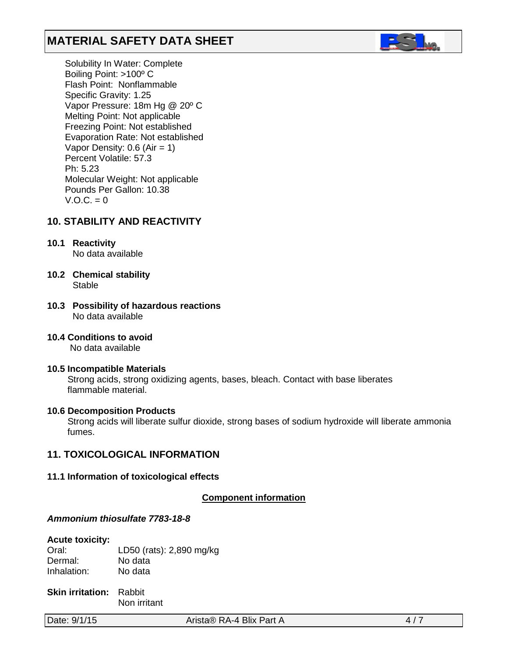

 Solubility In Water: Complete Boiling Point: >100º C Flash Point: Nonflammable Specific Gravity: 1.25 Vapor Pressure: 18m Hg @ 20º C Melting Point: Not applicable Freezing Point: Not established Evaporation Rate: Not established Vapor Density:  $0.6$  (Air = 1) Percent Volatile: 57.3 Ph: 5.23 Molecular Weight: Not applicable Pounds Per Gallon: 10.38  $V.O.C. = 0$ 

# **10. STABILITY AND REACTIVITY**

**10.1 Reactivity**

No data available

- **10.2 Chemical stability** Stable
- **10.3 Possibility of hazardous reactions** No data available
- **10.4 Conditions to avoid** No data available
- **10.5 Incompatible Materials** Strong acids, strong oxidizing agents, bases, bleach. Contact with base liberates flammable material.

# **10.6 Decomposition Products**

Strong acids will liberate sulfur dioxide, strong bases of sodium hydroxide will liberate ammonia fumes.

#### **11. TOXICOLOGICAL INFORMATION**

**11.1 Information of toxicological effects**

*<sup>U</sup>***Component information**

#### *Ammonium thiosulfate 7783-18-8*

#### **Acute toxicity:**

Oral: LD50 (rats): 2,890 mg/kg<br>Dermal: No data No data<br>No data Inhalation:

**Skin irritation:** Rabbit Non irritant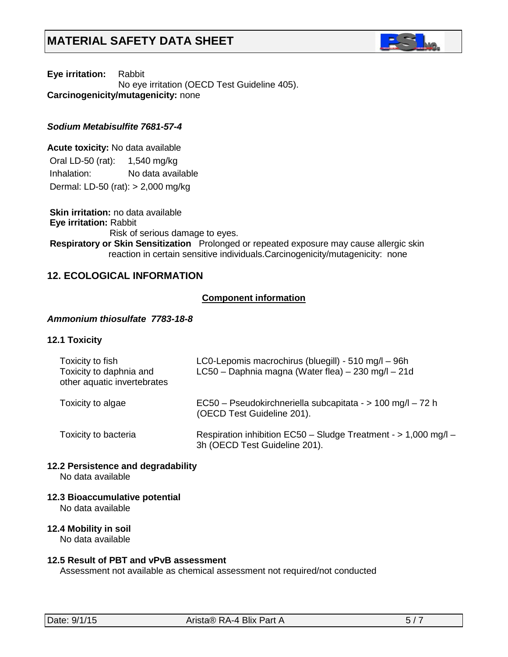

**Eye irritation:** Rabbit No eye irritation (OECD Test Guideline 405). **Carcinogenicity/mutagenicity:** none

### *Sodium Metabisulfite 7681-57-4*

**Acute toxicity:** No data available Oral LD-50 (rat): 1,540 mg/kg Inhalation: No data available Dermal: LD-50 (rat): > 2,000 mg/kg

**Skin irritation:** no data available **Eye irritation:** Rabbit Risk of serious damage to eyes. **Respiratory or Skin Sensitization** Prolonged or repeated exposure may cause allergic skin reaction in certain sensitive individuals.Carcinogenicity/mutagenicity: none

# **12. ECOLOGICAL INFORMATION**

# *<sup>U</sup>***Component information**

### *Ammonium thiosulfate 7783-18-8*

#### **12.1 Toxicity**

| Toxicity to fish<br>Toxicity to daphnia and<br>other aquatic invertebrates | LC0-Lepomis macrochirus (bluegill) - 510 mg/l - 96h<br>LC50 - Daphnia magna (Water flea) - 230 mg/l - 21d |
|----------------------------------------------------------------------------|-----------------------------------------------------------------------------------------------------------|
| Toxicity to algae                                                          | EC50 - Pseudokirchneriella subcapitata - > 100 mg/l - 72 h<br>(OECD Test Guideline 201).                  |
| Toxicity to bacteria                                                       | Respiration inhibition EC50 - Sludge Treatment - > 1,000 mg/l -<br>3h (OECD Test Guideline 201).          |

**12.2 Persistence and degradability**

No data available

**12.3 Bioaccumulative potential**

No data available

# **12.4 Mobility in soil**

No data available

#### **12.5 Result of PBT and vPvB assessment**

Assessment not available as chemical assessment not required/not conducted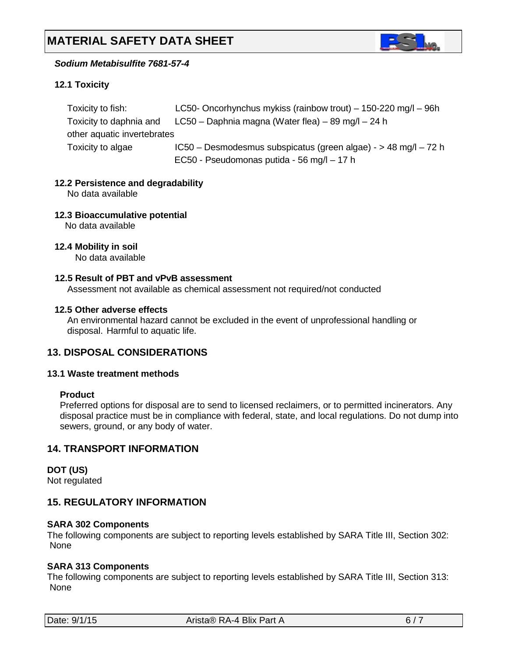

# *Sodium Metabisulfite 7681-57-4*

# **12.1 Toxicity**

| Toxicity to fish:           | LC50- Oncorhynchus mykiss (rainbow trout) $-$ 150-220 mg/l $-$ 96h |
|-----------------------------|--------------------------------------------------------------------|
| Toxicity to daphnia and     | LC50 – Daphnia magna (Water flea) – 89 mg/l – 24 h                 |
| other aquatic invertebrates |                                                                    |
| Toxicity to algae           | IC50 - Desmodesmus subspicatus (green algae) - > 48 mg/l - 72 h    |
|                             | EC50 - Pseudomonas putida - 56 mg/l - 17 h                         |

# **12.2 Persistence and degradability**

No data available

**12.3 Bioaccumulative potential**

No data available

**12.4 Mobility in soil**

No data available

#### **12.5 Result of PBT and vPvB assessment**

Assessment not available as chemical assessment not required/not conducted

#### **12.5 Other adverse effects**

An environmental hazard cannot be excluded in the event of unprofessional handling or disposal. Harmful to aquatic life.

# **13. DISPOSAL CONSIDERATIONS**

#### **13.1 Waste treatment methods**

#### **Product**

Preferred options for disposal are to send to licensed reclaimers, or to permitted incinerators. Any disposal practice must be in compliance with federal, state, and local regulations. Do not dump into sewers, ground, or any body of water.

# **14. TRANSPORT INFORMATION**

**DOT (US)** Not regulated

# **15. REGULATORY INFORMATION**

#### **SARA 302 Components**

The following components are subject to reporting levels established by SARA Title III, Section 302: None

# **SARA 313 Components**

The following components are subject to reporting levels established by SARA Title III, Section 313: None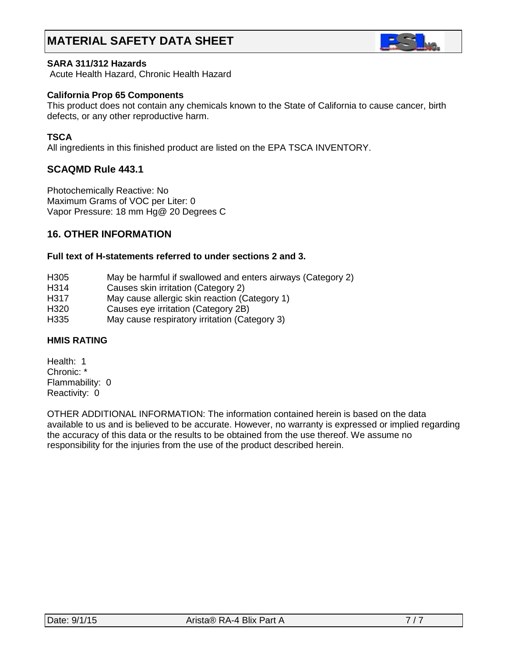

#### **SARA 311/312 Hazards**

Acute Health Hazard, Chronic Health Hazard

#### **California Prop 65 Components**

This product does not contain any chemicals known to the State of California to cause cancer, birth defects, or any other reproductive harm.

#### **TSCA**

All ingredients in this finished product are listed on the EPA TSCA INVENTORY.

# **SCAQMD Rule 443.1**

Photochemically Reactive: No Maximum Grams of VOC per Liter: 0 Vapor Pressure: 18 mm Hg@ 20 Degrees C

# **16. OTHER INFORMATION**

### **Full text of H-statements referred to under sections 2 and 3.**

- H305 May be harmful if swallowed and enters airways (Category 2)
- H314 Causes skin irritation (Category 2)
- H317 May cause allergic skin reaction (Category 1)
- H320 Causes eye irritation (Category 2B)
- H335 May cause respiratory irritation (Category 3)

#### **HMIS RATING**

Health: 1 Chronic: \* Flammability: 0 Reactivity: 0

OTHER ADDITIONAL INFORMATION: The information contained herein is based on the data available to us and is believed to be accurate. However, no warranty is expressed or implied regarding the accuracy of this data or the results to be obtained from the use thereof. We assume no responsibility for the injuries from the use of the product described herein.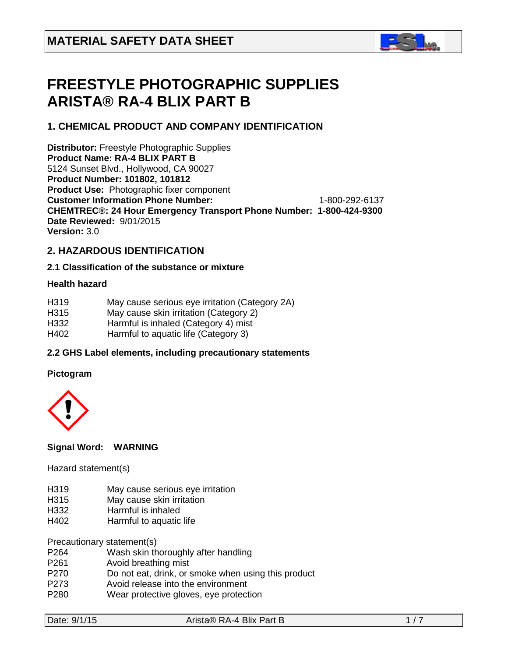

# **FREESTYLE PHOTOGRAPHIC SUPPLIES ARISTA® RA-4 BLIX PART B**

# **1. CHEMICAL PRODUCT AND COMPANY IDENTIFICATION**

**Distributor:** Freestyle Photographic Supplies **Product Name: RA-4 BLIX PART B** 5124 Sunset Blvd., Hollywood, CA 90027 **Product Number: 101802, 101812 Product Use:** Photographic fixer component **Customer Information Phone Number:** 1-800-292-6137 **CHEMTREC®: 24 Hour Emergency Transport Phone Number: 1-800-424-9300 Date Reviewed:** 9/01/2015 **Version:** 3.0

# **2. HAZARDOUS IDENTIFICATION**

# **2.1 Classification of the substance or mixture**

### **Health hazard**

- H319 May cause serious eye irritation (Category 2A)
- H315 May cause skin irritation (Category 2)
- H332 Harmful is inhaled (Category 4) mist
- H402 Harmful to aquatic life (Category 3)

# **2.2 GHS Label elements, including precautionary statements**

# **Pictogram**



# **Signal Word: WARNING**

Hazard statement(s)

- H319 May cause serious eye irritation
- H315 May cause skin irritation
- H332 Harmful is inhaled<br>H402 Harmful to aquatic
- Harmful to aquatic life

Precautionary statement(s)

- P264 Wash skin thoroughly after handling
- P<sub>261</sub> Avoid breathing mist
- P270 Do not eat, drink, or smoke when using this product
- P273 Avoid release into the environment<br>P280 Wear protective gloves, eve protect
- Wear protective gloves, eye protection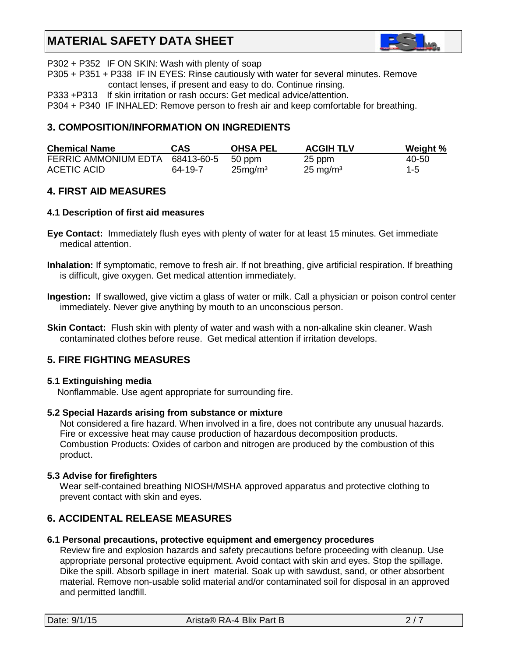

P302 + P352 IF ON SKIN: Wash with plenty of soap

P305 + P351 + P338 IF IN EYES: Rinse cautiously with water for several minutes. Remove contact lenses, if present and easy to do. Continue rinsing.

P333 +P313 If skin irritation or rash occurs: Get medical advice/attention.

P304 + P340 IF INHALED: Remove person to fresh air and keep comfortable for breathing.

# **3. COMPOSITION/INFORMATION ON INGREDIENTS**

| <b>Chemical Name</b>                   | CAS.    | <b>OHSA PEL</b>     | <b>ACGIH TLV</b>    | Weight % |
|----------------------------------------|---------|---------------------|---------------------|----------|
| FERRIC AMMONIUM EDTA 68413-60-5 50 ppm |         |                     | 25 ppm              | 40-50    |
| ACETIC ACID                            | 64-19-7 | 25mg/m <sup>3</sup> | $25 \text{ mg/m}^3$ | $1 - 5$  |

# **4. FIRST AID MEASURES**

#### **4.1 Description of first aid measures**

- **Eye Contact:** Immediately flush eyes with plenty of water for at least 15 minutes. Get immediate medical attention.
- **Inhalation:** If symptomatic, remove to fresh air. If not breathing, give artificial respiration. If breathing is difficult, give oxygen. Get medical attention immediately.
- **Ingestion:** If swallowed, give victim a glass of water or milk. Call a physician or poison control center immediately. Never give anything by mouth to an unconscious person.
- **Skin Contact:** Flush skin with plenty of water and wash with a non-alkaline skin cleaner. Wash contaminated clothes before reuse. Get medical attention if irritation develops.

# **5. FIRE FIGHTING MEASURES**

#### **5.1 Extinguishing media**

Nonflammable. Use agent appropriate for surrounding fire.

#### **5.2 Special Hazards arising from substance or mixture**

 Not considered a fire hazard. When involved in a fire, does not contribute any unusual hazards. Fire or excessive heat may cause production of hazardous decomposition products. Combustion Products: Oxides of carbon and nitrogen are produced by the combustion of this product.

#### **5.3 Advise for firefighters**

Wear self-contained breathing NIOSH/MSHA approved apparatus and protective clothing to prevent contact with skin and eyes.

# **6. ACCIDENTAL RELEASE MEASURES**

#### **6.1 Personal precautions, protective equipment and emergency procedures**

Review fire and explosion hazards and safety precautions before proceeding with cleanup. Use appropriate personal protective equipment. Avoid contact with skin and eyes. Stop the spillage. Dike the spill. Absorb spillage in inert material. Soak up with sawdust, sand, or other absorbent material. Remove non-usable solid material and/or contaminated soil for disposal in an approved and permitted landfill.

| Date: 9/1/15 |  |
|--------------|--|
|--------------|--|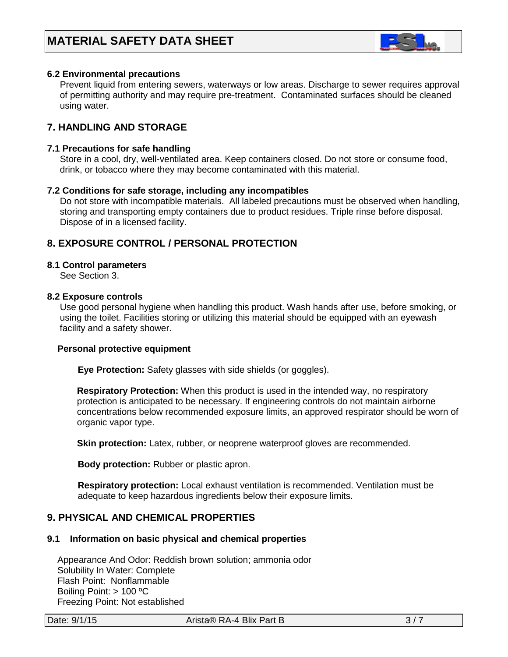

### **6.2 Environmental precautions**

 Prevent liquid from entering sewers, waterways or low areas. Discharge to sewer requires approval of permitting authority and may require pre-treatment. Contaminated surfaces should be cleaned using water.

# **7. HANDLING AND STORAGE**

#### **7.1 Precautions for safe handling**

 Store in a cool, dry, well-ventilated area. Keep containers closed. Do not store or consume food, drink, or tobacco where they may become contaminated with this material.

#### **7.2 Conditions for safe storage, including any incompatibles**

Do not store with incompatible materials. All labeled precautions must be observed when handling, storing and transporting empty containers due to product residues. Triple rinse before disposal. Dispose of in a licensed facility.

# **8. EXPOSURE CONTROL / PERSONAL PROTECTION**

#### **8.1 Control parameters**

See Section 3.

#### **8.2 Exposure controls**

Use good personal hygiene when handling this product. Wash hands after use, before smoking, or using the toilet. Facilities storing or utilizing this material should be equipped with an eyewash facility and a safety shower.

#### **Personal protective equipment**

**Eye Protection:** Safety glasses with side shields (or goggles).

**Respiratory Protection:** When this product is used in the intended way, no respiratory protection is anticipated to be necessary. If engineering controls do not maintain airborne concentrations below recommended exposure limits, an approved respirator should be worn of organic vapor type.

**Skin protection:** Latex, rubber, or neoprene waterproof gloves are recommended.

 **Body protection:** Rubber or plastic apron.

 **Respiratory protection:** Local exhaust ventilation is recommended. Ventilation must be adequate to keep hazardous ingredients below their exposure limits.

# **9. PHYSICAL AND CHEMICAL PROPERTIES**

#### **9.1 Information on basic physical and chemical properties**

 Appearance And Odor: Reddish brown solution; ammonia odor Solubility In Water: Complete Flash Point: Nonflammable Boiling Point: > 100 ºC Freezing Point: Not established

Date:  $9/1/15$  Arista® RA-4 Blix Part B  $3/7$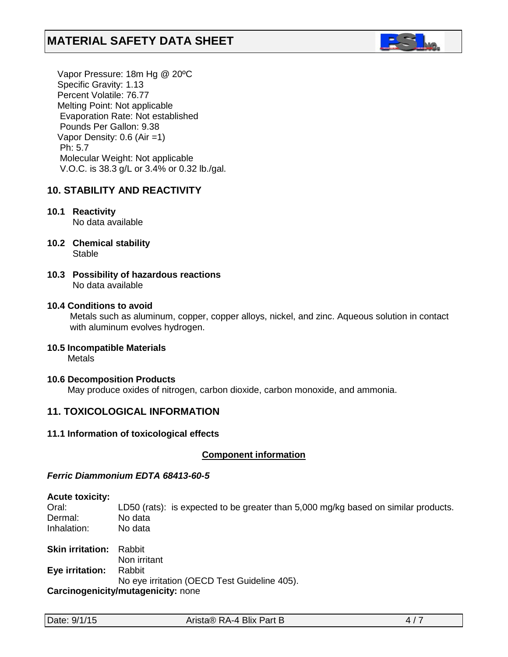

 Vapor Pressure: 18m Hg @ 20ºC Specific Gravity: 1.13 Percent Volatile: 76.77 Melting Point: Not applicable Evaporation Rate: Not established Pounds Per Gallon: 9.38 Vapor Density: 0.6 (Air =1) Ph: 5.7 Molecular Weight: Not applicable V.O.C. is 38.3 g/L or 3.4% or 0.32 lb./gal.

# **10. STABILITY AND REACTIVITY**

# **10.1 Reactivity**

No data available

- **10.2 Chemical stability** Stable
- **10.3 Possibility of hazardous reactions** No data available

# **10.4 Conditions to avoid**

Metals such as aluminum, copper, copper alloys, nickel, and zinc. Aqueous solution in contact with aluminum evolves hydrogen.

# **10.5 Incompatible Materials**

Metals

#### **10.6 Decomposition Products**

May produce oxides of nitrogen, carbon dioxide, carbon monoxide, and ammonia.

# **11. TOXICOLOGICAL INFORMATION**

#### **11.1 Information of toxicological effects**

#### **Component information**

#### *Ferric Diammonium EDTA 68413-60-5*

#### **Acute toxicity:**

Oral: LD50 (rats): is expected to be greater than 5,000 mg/kg based on similar products. Dermal: No data Inhalation: No data

**Skin irritation:** Rabbit Non irritant **Eye irritation:** Rabbit No eye irritation (OECD Test Guideline 405). **Carcinogenicity/mutagenicity:** none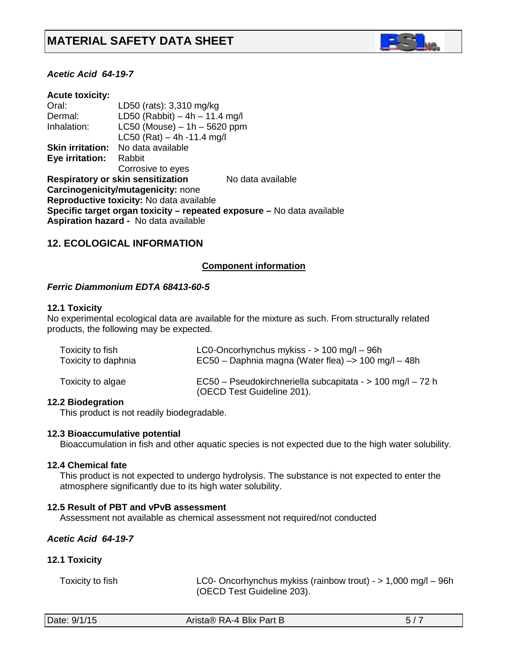

### *Acetic Acid 64-19-7*

| <b>Acute toxicity:</b>  |                                              |                                                                        |
|-------------------------|----------------------------------------------|------------------------------------------------------------------------|
| Oral:                   | LD50 (rats): 3,310 mg/kg                     |                                                                        |
| Dermal:                 | LD50 (Rabbit) $-4h - 11.4$ mg/l              |                                                                        |
| Inhalation:             | $LC50$ (Mouse) $-1h - 5620$ ppm              |                                                                        |
|                         | LC50 (Rat) $-4h -11.4$ mg/l                  |                                                                        |
| <b>Skin irritation:</b> | No data available                            |                                                                        |
| Eye irritation:         | Rabbit                                       |                                                                        |
|                         | Corrosive to eyes                            |                                                                        |
|                         | <b>Respiratory or skin sensitization</b>     | No data available                                                      |
|                         | Carcinogenicity/mutagenicity: none           |                                                                        |
|                         | Reproductive toxicity: No data available     |                                                                        |
|                         |                                              | Specific target organ toxicity - repeated exposure - No data available |
|                         | <b>Aspiration hazard - No data available</b> |                                                                        |

# **12. ECOLOGICAL INFORMATION**

#### *<sup>U</sup>***Component information**

#### *Ferric Diammonium EDTA 68413-60-5*

#### **12.1 Toxicity**

No experimental ecological data are available for the mixture as such. From structurally related products, the following may be expected.

| Toxicity to fish    | LC0-Oncorhynchus mykiss - $> 100$ mg/l - 96h                                             |
|---------------------|------------------------------------------------------------------------------------------|
| Toxicity to daphnia | EC50 – Daphnia magna (Water flea) –> 100 mg/l – 48h                                      |
| Toxicity to algae   | EC50 - Pseudokirchneriella subcapitata - > 100 mg/l - 72 h<br>(OECD Test Guideline 201). |

#### **12.2 Biodegration**

This product is not readily biodegradable.

#### **12.3 Bioaccumulative potential**

Bioaccumulation in fish and other aquatic species is not expected due to the high water solubility.

#### **12.4 Chemical fate**

This product is not expected to undergo hydrolysis. The substance is not expected to enter the atmosphere significantly due to its high water solubility.

#### **12.5 Result of PBT and vPvB assessment**

Assessment not available as chemical assessment not required/not conducted

#### *Acetic Acid 64-19-7*

#### **12.1 Toxicity**

| Toxicity to fish | LC0- Oncorhynchus mykiss (rainbow trout) - $> 1,000$ mg/l - 96h |
|------------------|-----------------------------------------------------------------|
|                  | (OECD Test Guideline 203).                                      |

| Date: 9/1/15<br>Arista® RA-4 Blix Part B |
|------------------------------------------|
|------------------------------------------|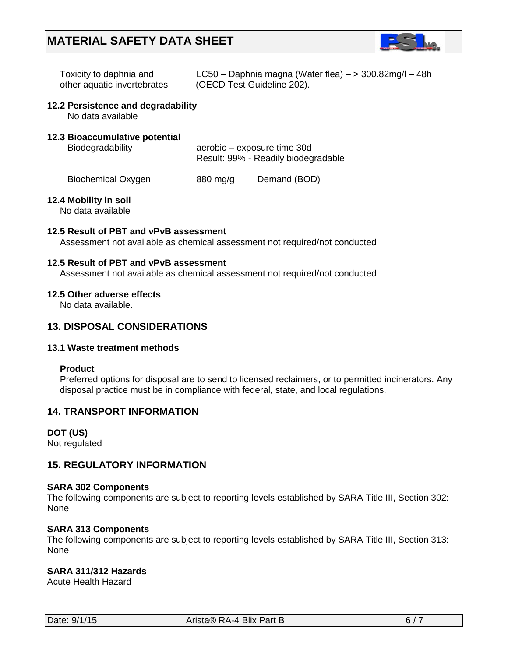

| Toxicity to daphnia and     | LC50 - Daphnia magna (Water flea) $-$ > 300.82mg/l - 48h |
|-----------------------------|----------------------------------------------------------|
| other aquatic invertebrates | (OECD Test Guideline 202).                               |

#### **12.2 Persistence and degradability**

No data available

### **12.3 Bioaccumulative potential**

Biodegradability **aerobic** – exposure time 30d Result: 99% - Readily biodegradable

Biochemical Oxygen 880 mg/g Demand (BOD)

#### **12.4 Mobility in soil**

No data available

#### **12.5 Result of PBT and vPvB assessment**

Assessment not available as chemical assessment not required/not conducted

#### **12.5 Result of PBT and vPvB assessment**

Assessment not available as chemical assessment not required/not conducted

#### **12.5 Other adverse effects**

No data available.

# **13. DISPOSAL CONSIDERATIONS**

#### **13.1 Waste treatment methods**

#### **Product**

Preferred options for disposal are to send to licensed reclaimers, or to permitted incinerators. Any disposal practice must be in compliance with federal, state, and local regulations.

# **14. TRANSPORT INFORMATION**

# **DOT (US)**

Not regulated

# **15. REGULATORY INFORMATION**

#### **SARA 302 Components**

The following components are subject to reporting levels established by SARA Title III, Section 302: None

#### **SARA 313 Components**

The following components are subject to reporting levels established by SARA Title III, Section 313: None

# **SARA 311/312 Hazards**

Acute Health Hazard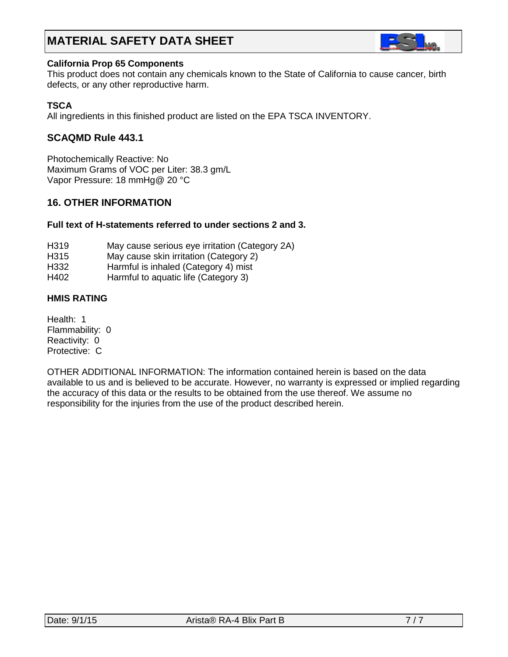

#### **California Prop 65 Components**

This product does not contain any chemicals known to the State of California to cause cancer, birth defects, or any other reproductive harm.

# **TSCA**

All ingredients in this finished product are listed on the EPA TSCA INVENTORY.

# **SCAQMD Rule 443.1**

Photochemically Reactive: No Maximum Grams of VOC per Liter: 38.3 gm/L Vapor Pressure: 18 mmHg@ 20 °C

# **16. OTHER INFORMATION**

# **Full text of H-statements referred to under sections 2 and 3.**

- H319 May cause serious eye irritation (Category 2A)
- H315 May cause skin irritation (Category 2)
- H332 Harmful is inhaled (Category 4) mist
- H402 Harmful to aquatic life (Category 3)

# **HMIS RATING**

Health: 1 Flammability: 0 Reactivity: 0 Protective: C

OTHER ADDITIONAL INFORMATION: The information contained herein is based on the data available to us and is believed to be accurate. However, no warranty is expressed or implied regarding the accuracy of this data or the results to be obtained from the use thereof. We assume no responsibility for the injuries from the use of the product described herein.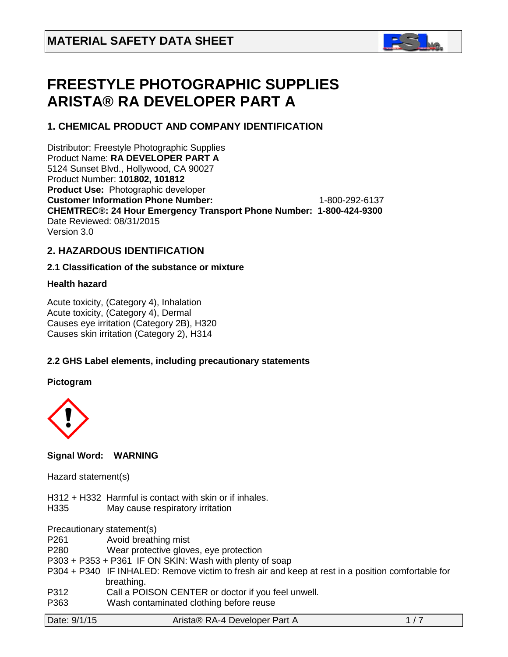

# **FREESTYLE PHOTOGRAPHIC SUPPLIES ARISTA® RA DEVELOPER PART A**

# **1. CHEMICAL PRODUCT AND COMPANY IDENTIFICATION**

Distributor: Freestyle Photographic Supplies Product Name: **RA DEVELOPER PART A** 5124 Sunset Blvd., Hollywood, CA 90027 Product Number: **101802, 101812 Product Use:** Photographic developer **Customer Information Phone Number:** 1-800-292-6137 **CHEMTREC®: 24 Hour Emergency Transport Phone Number: 1-800-424-9300**  Date Reviewed: 08/31/2015 Version 3.0

#### **2. HAZARDOUS IDENTIFICATION**

# **2.1 Classification of the substance or mixture**

# **Health hazard**

Acute toxicity, (Category 4), Inhalation Acute toxicity, (Category 4), Dermal Causes eye irritation (Category 2B), H320 Causes skin irritation (Category 2), H314

# **2.2 GHS Label elements, including precautionary statements**

# **Pictogram**



# **Signal Word: WARNING**

# Hazard statement(s)

H312 + H332 Harmful is contact with skin or if inhales.

H335 May cause respiratory irritation

Precautionary statement(s)

P261 Avoid breathing mist

P280 Wear protective gloves, eye protection

- P303 + P353 + P361 IF ON SKIN: Wash with plenty of soap
- P304 + P340 IF INHALED: Remove victim to fresh air and keep at rest in a position comfortable for breathing.
- P312 Call a POISON CENTER or doctor if you feel unwell.
- P363 Wash contaminated clothing before reuse

| Date: 9/1/15 | Arista® RA-4 Developer Part A |  |
|--------------|-------------------------------|--|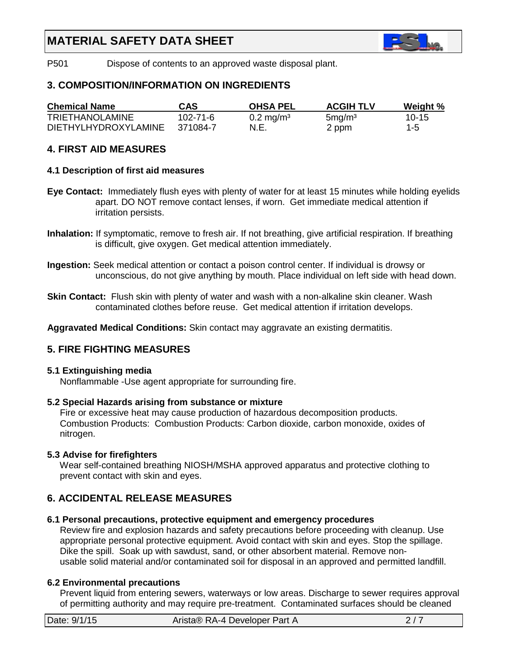

P501 Dispose of contents to an approved waste disposal plant.

# **3. COMPOSITION/INFORMATION ON INGREDIENTS**

| <b>Chemical Name</b>        | CAS      | <b>OHSA PEL</b>         | <b>ACGIH TLV</b>   | Weight % |
|-----------------------------|----------|-------------------------|--------------------|----------|
| TRIETHANOLAMINE             | 102-71-6 | $0.2 \,\mathrm{mg/m^3}$ | 5mg/m <sup>3</sup> | $10-15$  |
| <b>DIETHYLHYDROXYLAMINE</b> | 371084-7 | N.E.                    | 2 ppm              | $1 - 5$  |

# **4. FIRST AID MEASURES**

# **4.1 Description of first aid measures**

- **Eye Contact:** Immediately flush eyes with plenty of water for at least 15 minutes while holding eyelids apart. DO NOT remove contact lenses, if worn. Get immediate medical attention if irritation persists.
- **Inhalation:** If symptomatic, remove to fresh air. If not breathing, give artificial respiration. If breathing is difficult, give oxygen. Get medical attention immediately.
- **Ingestion:** Seek medical attention or contact a poison control center. If individual is drowsy or unconscious, do not give anything by mouth. Place individual on left side with head down.
- **Skin Contact:** Flush skin with plenty of water and wash with a non-alkaline skin cleaner. Wash contaminated clothes before reuse. Get medical attention if irritation develops.

**Aggravated Medical Conditions:** Skin contact may aggravate an existing dermatitis.

# **5. FIRE FIGHTING MEASURES**

#### **5.1 Extinguishing media**

Nonflammable -Use agent appropriate for surrounding fire.

# **5.2 Special Hazards arising from substance or mixture**

 Fire or excessive heat may cause production of hazardous decomposition products. Combustion Products: Combustion Products: Carbon dioxide, carbon monoxide, oxides of nitrogen.

# **5.3 Advise for firefighters**

Wear self-contained breathing NIOSH/MSHA approved apparatus and protective clothing to prevent contact with skin and eyes.

# **6. ACCIDENTAL RELEASE MEASURES**

#### **6.1 Personal precautions, protective equipment and emergency procedures**

Review fire and explosion hazards and safety precautions before proceeding with cleanup. Use appropriate personal protective equipment. Avoid contact with skin and eyes. Stop the spillage. Dike the spill. Soak up with sawdust, sand, or other absorbent material. Remove non usable solid material and/or contaminated soil for disposal in an approved and permitted landfill.

# **6.2 Environmental precautions**

 Prevent liquid from entering sewers, waterways or low areas. Discharge to sewer requires approval of permitting authority and may require pre-treatment. Contaminated surfaces should be cleaned

| Date: 9/1/15 | Arista® RA-4 Developer Part A |  |
|--------------|-------------------------------|--|
|              |                               |  |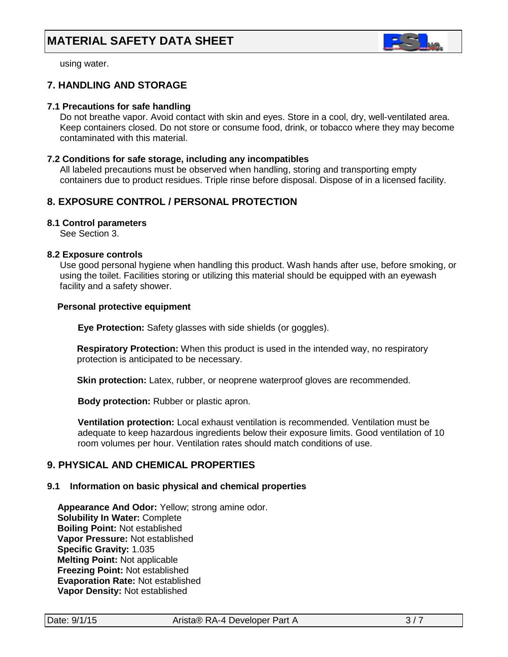

using water.

# **7. HANDLING AND STORAGE**

#### **7.1 Precautions for safe handling**

 Do not breathe vapor. Avoid contact with skin and eyes. Store in a cool, dry, well-ventilated area. Keep containers closed. Do not store or consume food, drink, or tobacco where they may become contaminated with this material.

#### **7.2 Conditions for safe storage, including any incompatibles**

All labeled precautions must be observed when handling, storing and transporting empty containers due to product residues. Triple rinse before disposal. Dispose of in a licensed facility.

# **8. EXPOSURE CONTROL / PERSONAL PROTECTION**

#### **8.1 Control parameters**

See Section 3.

#### **8.2 Exposure controls**

Use good personal hygiene when handling this product. Wash hands after use, before smoking, or using the toilet. Facilities storing or utilizing this material should be equipped with an eyewash facility and a safety shower.

#### **Personal protective equipment**

**Eye Protection:** Safety glasses with side shields (or goggles).

**Respiratory Protection:** When this product is used in the intended way, no respiratory protection is anticipated to be necessary.

**Skin protection:** Latex, rubber, or neoprene waterproof gloves are recommended.

 **Body protection:** Rubber or plastic apron.

 **Ventilation protection:** Local exhaust ventilation is recommended. Ventilation must be adequate to keep hazardous ingredients below their exposure limits. Good ventilation of 10 room volumes per hour. Ventilation rates should match conditions of use.

# **9. PHYSICAL AND CHEMICAL PROPERTIES**

# **9.1 Information on basic physical and chemical properties**

 **Appearance And Odor:** Yellow; strong amine odor. **Solubility In Water:** Complete  **Boiling Point:** Not established  **Vapor Pressure:** Not established  **Specific Gravity:** 1.035  **Melting Point:** Not applicable  **Freezing Point:** Not established  **Evaporation Rate:** Not established  **Vapor Density:** Not established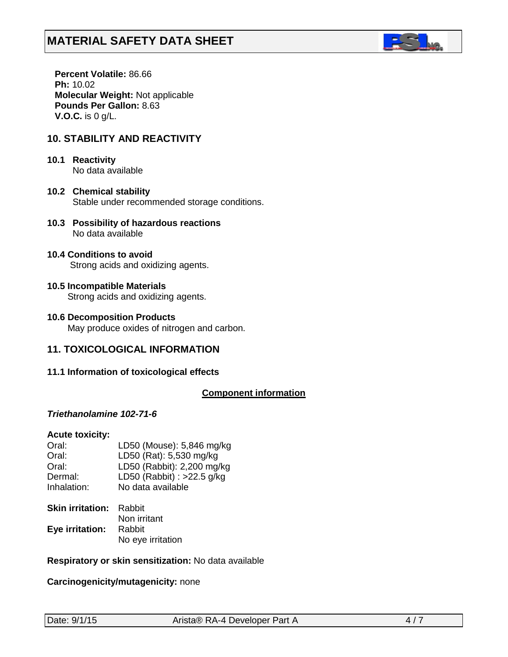

 **Percent Volatile:** 86.66  **Ph:** 10.02  **Molecular Weight:** Not applicable  **Pounds Per Gallon:** 8.63  **V.O.C.** is 0 g/L.

# **10. STABILITY AND REACTIVITY**

# **10.1 Reactivity** No data available

- **10.2 Chemical stability** Stable under recommended storage conditions.
- **10.3 Possibility of hazardous reactions** No data available
- **10.4 Conditions to avoid** Strong acids and oxidizing agents.
- **10.5 Incompatible Materials** Strong acids and oxidizing agents.
- **10.6 Decomposition Products** May produce oxides of nitrogen and carbon.

# **11. TOXICOLOGICAL INFORMATION**

# **11.1 Information of toxicological effects**

# *<sup>U</sup>***Component information**

#### *Triethanolamine 102-71-6*

#### **Acute toxicity:**

| Oral:       | LD50 (Mouse): 5,846 mg/kg  |
|-------------|----------------------------|
| Oral:       | LD50 (Rat): 5,530 mg/kg    |
| Oral:       | LD50 (Rabbit): 2,200 mg/kg |
| Dermal:     | LD50 (Rabbit) : >22.5 g/kg |
| Inhalation: | No data available          |

| <b>Skin irritation: Rabbit</b> |                   |
|--------------------------------|-------------------|
|                                | Non irritant      |
| Eye irritation:                | Rabbit            |
|                                | No eye irritation |

#### **Respiratory or skin sensitization:** No data available

**Carcinogenicity/mutagenicity:** none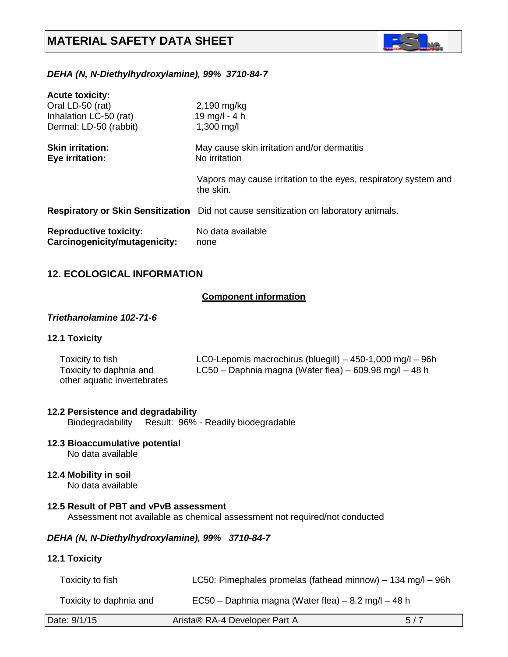

# *DEHA (N, N-Diethylhydroxylamine), 99% 3710-84-7*

| <b>Acute toxicity:</b>                                         |                                                                                      |
|----------------------------------------------------------------|--------------------------------------------------------------------------------------|
| Oral LD-50 (rat)                                               | 2,190 mg/kg                                                                          |
| Inhalation LC-50 (rat)                                         | 19 mg/l - 4 h                                                                        |
| Dermal: LD-50 (rabbit)                                         | $1,300 \,\mathrm{mg/l}$                                                              |
| <b>Skin irritation:</b><br>Eye irritation:                     | May cause skin irritation and/or dermatitis<br>No irritation                         |
|                                                                | Vapors may cause irritation to the eyes, respiratory system and<br>the skin.         |
|                                                                | Respiratory or Skin Sensitization Did not cause sensitization on laboratory animals. |
| <b>Reproductive toxicity:</b><br>Carcinogenicity/mutagenicity: | No data available<br>none                                                            |

# **12. ECOLOGICAL INFORMATION**

# *<sup>U</sup>***Component information**

#### *Triethanolamine 102-71-6*

### **12.1 Toxicity**

| Toxicity to fish            | LC0-Lepomis macrochirus (bluegill) $-$ 450-1,000 mg/l $-$ 96h |
|-----------------------------|---------------------------------------------------------------|
| Toxicity to daphnia and     | LC50 – Daphnia magna (Water flea) – 609.98 mg/l – 48 h        |
| other aquatic invertebrates |                                                               |

#### **12.2 Persistence and degradability**

Biodegradability Result: 96% - Readily biodegradable

# **12.3 Bioaccumulative potential**

No data available

#### **12.4 Mobility in soil** No data available

#### **12.5 Result of PBT and vPvB assessment** Assessment not available as chemical assessment not required/not conducted

#### *DEHA (N, N-Diethylhydroxylamine), 99% 3710-84-7*

#### **12.1 Toxicity**

| Toxicity to fish_       | LC50: Pimephales promelas (fathead minnow) $-$ 134 mg/l $-$ 96h |
|-------------------------|-----------------------------------------------------------------|
| Toxicity to daphnia and | $EC50 - Daphnia magna (Water flea) - 8.2 mg/l - 48 h$           |

| Date: 9/1/15 | Arista® RA-4 Developer Part A | 5/7 |
|--------------|-------------------------------|-----|
|--------------|-------------------------------|-----|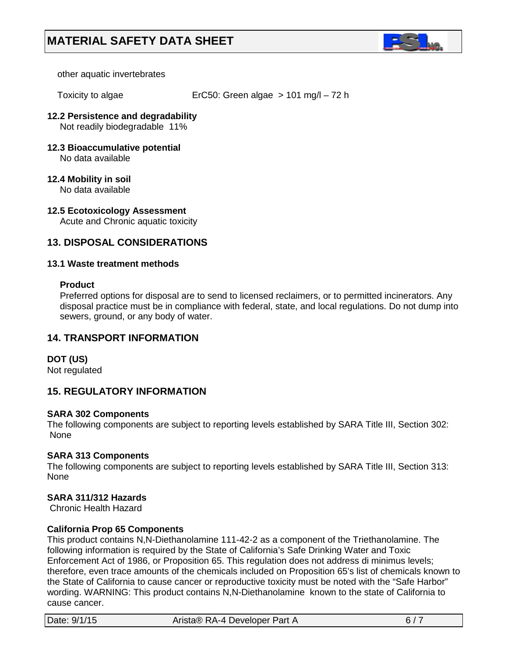

other aquatic invertebrates

Toxicity to algae ErC50: Green algae > 101 mg/l – 72 h

#### **12.2 Persistence and degradability** Not readily biodegradable 11%

**12.3 Bioaccumulative potential** No data available

# **12.4 Mobility in soil**

No data available

#### **12.5 Ecotoxicology Assessment** Acute and Chronic aquatic toxicity

# **13. DISPOSAL CONSIDERATIONS**

# **13.1 Waste treatment methods**

#### **Product**

Preferred options for disposal are to send to licensed reclaimers, or to permitted incinerators. Any disposal practice must be in compliance with federal, state, and local regulations. Do not dump into sewers, ground, or any body of water.

# **14. TRANSPORT INFORMATION**

# **DOT (US)**

Not regulated

# **15. REGULATORY INFORMATION**

# **SARA 302 Components**

The following components are subject to reporting levels established by SARA Title III, Section 302: None

# **SARA 313 Components**

The following components are subject to reporting levels established by SARA Title III, Section 313: None

# **SARA 311/312 Hazards**

Chronic Health Hazard

# **California Prop 65 Components**

This product contains N,N-Diethanolamine 111-42-2 as a component of the Triethanolamine. The following information is required by the State of California's Safe Drinking Water and Toxic Enforcement Act of 1986, or Proposition 65. This regulation does not address di minimus levels; therefore, even trace amounts of the chemicals included on Proposition 65's list of chemicals known to the State of California to cause cancer or reproductive toxicity must be noted with the "Safe Harbor" wording. WARNING: This product contains N,N-Diethanolamine known to the state of California to cause cancer.

| Date: 9/1/15 | Arista® RA-4 Developer Part A |  |
|--------------|-------------------------------|--|
|--------------|-------------------------------|--|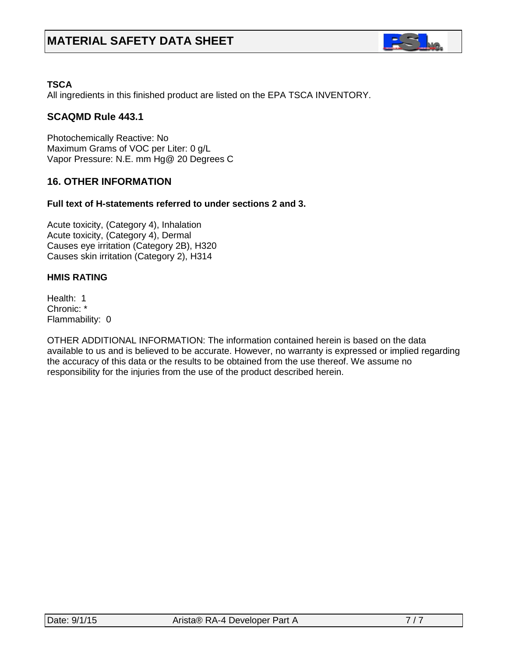

# **TSCA**

All ingredients in this finished product are listed on the EPA TSCA INVENTORY.

# **SCAQMD Rule 443.1**

Photochemically Reactive: No Maximum Grams of VOC per Liter: 0 g/L Vapor Pressure: N.E. mm Hg@ 20 Degrees C

# **16. OTHER INFORMATION**

#### **Full text of H-statements referred to under sections 2 and 3.**

Acute toxicity, (Category 4), Inhalation Acute toxicity, (Category 4), Dermal Causes eye irritation (Category 2B), H320 Causes skin irritation (Category 2), H314

#### **HMIS RATING**

Health: 1 Chronic: \* Flammability: 0

OTHER ADDITIONAL INFORMATION: The information contained herein is based on the data available to us and is believed to be accurate. However, no warranty is expressed or implied regarding the accuracy of this data or the results to be obtained from the use thereof. We assume no responsibility for the injuries from the use of the product described herein.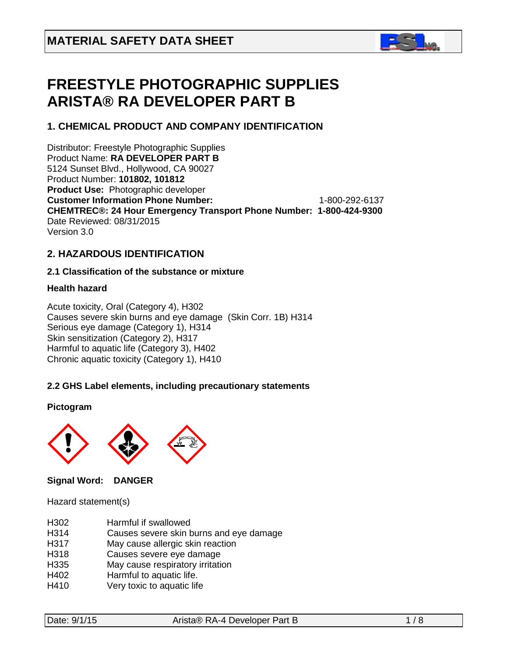

# **FREESTYLE PHOTOGRAPHIC SUPPLIES ARISTA® RA DEVELOPER PART B**

# **1. CHEMICAL PRODUCT AND COMPANY IDENTIFICATION**

Distributor: Freestyle Photographic Supplies Product Name: **RA DEVELOPER PART B** 5124 Sunset Blvd., Hollywood, CA 90027 Product Number: **101802, 101812 Product Use:** Photographic developer **Customer Information Phone Number:** 1-800-292-6137 **CHEMTREC®: 24 Hour Emergency Transport Phone Number: 1-800-424-9300**  Date Reviewed: 08/31/2015 Version 3.0

# **2. HAZARDOUS IDENTIFICATION**

# **2.1 Classification of the substance or mixture**

# **Health hazard**

Acute toxicity, Oral (Category 4), H302 Causes severe skin burns and eye damage (Skin Corr. 1B) H314 Serious eye damage (Category 1), H314 Skin sensitization (Category 2), H317 Harmful to aquatic life (Category 3), H402 Chronic aquatic toxicity (Category 1), H410

# **2.2 GHS Label elements, including precautionary statements**

# **Pictogram**



# **Signal Word: DANGER**

Hazard statement(s)

| H <sub>302</sub> | Harmful if swallowed                    |
|------------------|-----------------------------------------|
| H314             | Causes severe skin burns and eye damage |
| H317             | May cause allergic skin reaction        |
| H318             | Causes severe eye damage                |
| H335             | May cause respiratory irritation        |
| H402             | Harmful to aquatic life.                |
| H410             | Very toxic to aquatic life              |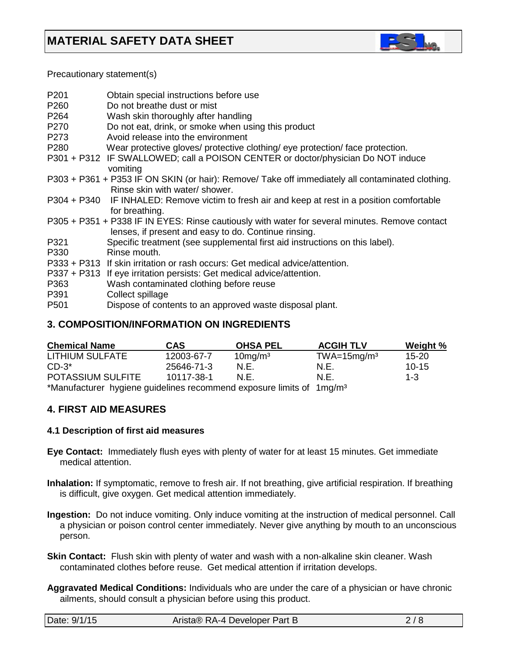

Precautionary statement(s)

| P <sub>201</sub>                     | Obtain special instructions before use                                                                                                                 |
|--------------------------------------|--------------------------------------------------------------------------------------------------------------------------------------------------------|
| P <sub>260</sub><br>P <sub>264</sub> | Do not breathe dust or mist<br>Wash skin thoroughly after handling                                                                                     |
| P270                                 | Do not eat, drink, or smoke when using this product                                                                                                    |
| P273                                 | Avoid release into the environment                                                                                                                     |
| P <sub>280</sub>                     | Wear protective gloves/ protective clothing/ eye protection/ face protection.                                                                          |
|                                      | P301 + P312 IF SWALLOWED; call a POISON CENTER or doctor/physician Do NOT induce                                                                       |
|                                      | vomiting                                                                                                                                               |
|                                      | P303 + P361 + P353 IF ON SKIN (or hair): Remove/ Take off immediately all contaminated clothing.<br>Rinse skin with water/ shower.                     |
|                                      | P304 + P340 IF INHALED: Remove victim to fresh air and keep at rest in a position comfortable<br>for breathing.                                        |
|                                      | P305 + P351 + P338 IF IN EYES: Rinse cautiously with water for several minutes. Remove contact<br>lenses, if present and easy to do. Continue rinsing. |
| P321                                 | Specific treatment (see supplemental first aid instructions on this label).                                                                            |
| P330                                 | Rinse mouth.                                                                                                                                           |
|                                      | P333 + P313 If skin irritation or rash occurs: Get medical advice/attention.                                                                           |
|                                      | P337 + P313 If eye irritation persists: Get medical advice/attention.                                                                                  |
| P363                                 | Wash contaminated clothing before reuse                                                                                                                |
| P391                                 | Collect spillage                                                                                                                                       |
| P <sub>501</sub>                     | Dispose of contents to an approved waste disposal plant.                                                                                               |

# **3. COMPOSITION/INFORMATION ON INGREDIENTS**

| <b>Chemical Name</b>                                                             | CAS        | <b>OHSA PEL</b> | <b>ACGIH TLV</b> | Weight %  |
|----------------------------------------------------------------------------------|------------|-----------------|------------------|-----------|
| LITHIUM SULFATE                                                                  | 12003-67-7 | $10$ mg/m $3$   | $TWA=15mg/m3$    | $15 - 20$ |
| $CD-3^*$                                                                         | 25646-71-3 | N.E.            | N.E.             | $10 - 15$ |
| <b>POTASSIUM SULFITE</b>                                                         | 10117-38-1 | N F.            | N.F.             | $1 - 3$   |
| *Manufacturer hygiene guidelines recommend exposure limits of 1mg/m <sup>3</sup> |            |                 |                  |           |

# **4. FIRST AID MEASURES**

# **4.1 Description of first aid measures**

- **Eye Contact:** Immediately flush eyes with plenty of water for at least 15 minutes. Get immediate medical attention.
- **Inhalation:** If symptomatic, remove to fresh air. If not breathing, give artificial respiration. If breathing is difficult, give oxygen. Get medical attention immediately.
- **Ingestion:** Do not induce vomiting. Only induce vomiting at the instruction of medical personnel. Call a physician or poison control center immediately. Never give anything by mouth to an unconscious person.
- **Skin Contact:** Flush skin with plenty of water and wash with a non-alkaline skin cleaner. Wash contaminated clothes before reuse. Get medical attention if irritation develops.
- **Aggravated Medical Conditions:** Individuals who are under the care of a physician or have chronic ailments, should consult a physician before using this product.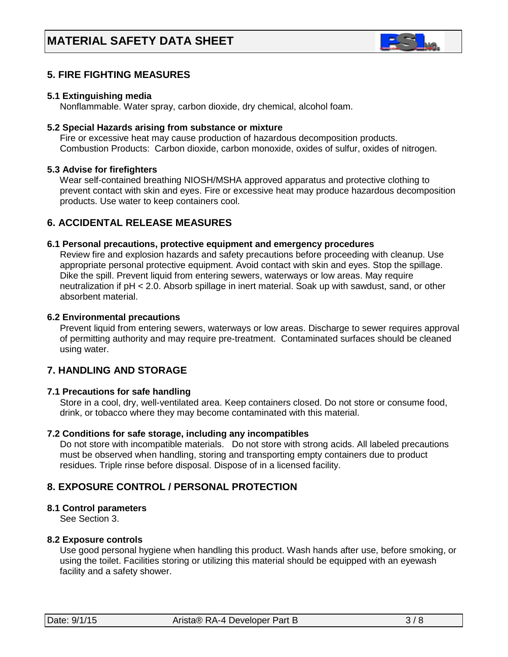

# **5. FIRE FIGHTING MEASURES**

#### **5.1 Extinguishing media**

Nonflammable. Water spray, carbon dioxide, dry chemical, alcohol foam.

#### **5.2 Special Hazards arising from substance or mixture**

 Fire or excessive heat may cause production of hazardous decomposition products. Combustion Products: Carbon dioxide, carbon monoxide, oxides of sulfur, oxides of nitrogen.

#### **5.3 Advise for firefighters**

Wear self-contained breathing NIOSH/MSHA approved apparatus and protective clothing to prevent contact with skin and eyes. Fire or excessive heat may produce hazardous decomposition products. Use water to keep containers cool.

# **6. ACCIDENTAL RELEASE MEASURES**

#### **6.1 Personal precautions, protective equipment and emergency procedures**

Review fire and explosion hazards and safety precautions before proceeding with cleanup. Use appropriate personal protective equipment. Avoid contact with skin and eyes. Stop the spillage. Dike the spill. Prevent liquid from entering sewers, waterways or low areas. May require neutralization if pH < 2.0. Absorb spillage in inert material. Soak up with sawdust, sand, or other absorbent material.

#### **6.2 Environmental precautions**

 Prevent liquid from entering sewers, waterways or low areas. Discharge to sewer requires approval of permitting authority and may require pre-treatment. Contaminated surfaces should be cleaned using water.

# **7. HANDLING AND STORAGE**

#### **7.1 Precautions for safe handling**

 Store in a cool, dry, well-ventilated area. Keep containers closed. Do not store or consume food, drink, or tobacco where they may become contaminated with this material.

#### **7.2 Conditions for safe storage, including any incompatibles**

Do not store with incompatible materials. Do not store with strong acids. All labeled precautions must be observed when handling, storing and transporting empty containers due to product residues. Triple rinse before disposal. Dispose of in a licensed facility.

# **8. EXPOSURE CONTROL / PERSONAL PROTECTION**

#### **8.1 Control parameters**

See Section 3.

#### **8.2 Exposure controls**

Use good personal hygiene when handling this product. Wash hands after use, before smoking, or using the toilet. Facilities storing or utilizing this material should be equipped with an eyewash facility and a safety shower.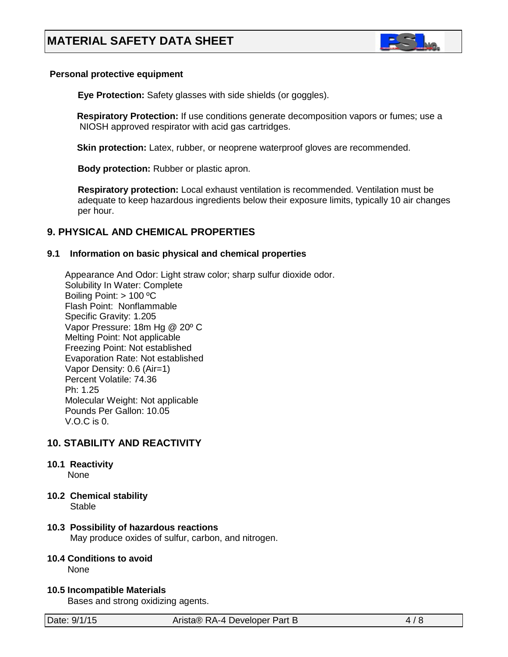

#### **Personal protective equipment**

**Eye Protection:** Safety glasses with side shields (or goggles).

**Respiratory Protection:** If use conditions generate decomposition vapors or fumes; use a NIOSH approved respirator with acid gas cartridges.

**Skin protection:** Latex, rubber, or neoprene waterproof gloves are recommended.

 **Body protection:** Rubber or plastic apron.

 **Respiratory protection:** Local exhaust ventilation is recommended. Ventilation must be adequate to keep hazardous ingredients below their exposure limits, typically 10 air changes per hour.

# **9. PHYSICAL AND CHEMICAL PROPERTIES**

# **9.1 Information on basic physical and chemical properties**

Appearance And Odor: Light straw color; sharp sulfur dioxide odor. Solubility In Water: Complete Boiling Point: > 100 ºC Flash Point: Nonflammable Specific Gravity: 1.205 Vapor Pressure: 18m Hg @ 20º C Melting Point: Not applicable Freezing Point: Not established Evaporation Rate: Not established Vapor Density: 0.6 (Air=1) Percent Volatile: 74.36 Ph: 1.25 Molecular Weight: Not applicable Pounds Per Gallon: 10.05 V.O.C is 0.

# **10. STABILITY AND REACTIVITY**

# **10.1 Reactivity**

None

**10.2 Chemical stability**

Stable

# **10.3 Possibility of hazardous reactions**

May produce oxides of sulfur, carbon, and nitrogen.

# **10.4 Conditions to avoid**

None

# **10.5 Incompatible Materials**

Bases and strong oxidizing agents.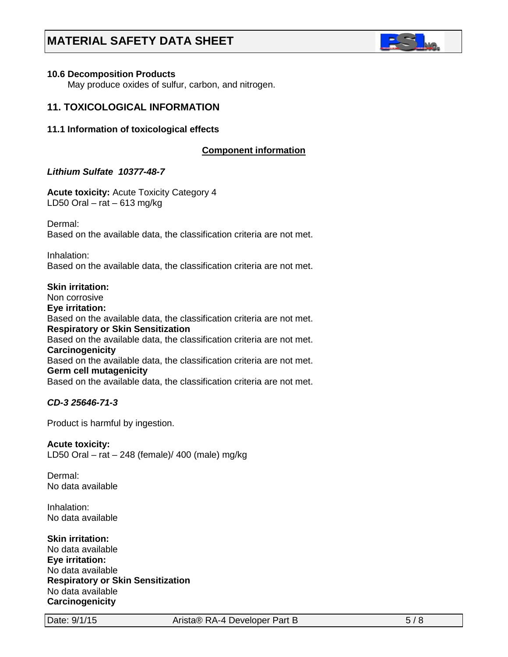

#### **10.6 Decomposition Products**

May produce oxides of sulfur, carbon, and nitrogen.

# **11. TOXICOLOGICAL INFORMATION**

### **11.1 Information of toxicological effects**

# **C***C***omponent information**

# *Lithium Sulfate 10377-48-7*

**Acute toxicity:** Acute Toxicity Category 4 LD50 Oral – rat – 613 mg/kg

Dermal: Based on the available data, the classification criteria are not met.

Inhalation: Based on the available data, the classification criteria are not met.

# **Skin irritation:**  Non corrosive **Eye irritation:**  Based on the available data, the classification criteria are not met. **Respiratory or Skin Sensitization** Based on the available data, the classification criteria are not met. **Carcinogenicity** Based on the available data, the classification criteria are not met. **Germ cell mutagenicity**

Based on the available data, the classification criteria are not met.

# *CD-3 25646-71-3*

Product is harmful by ingestion.

#### **Acute toxicity:**

LD50 Oral – rat – 248 (female)/ 400 (male) mg/kg

Dermal: No data available

Inhalation: No data available

**Skin irritation:**  No data available **Eye irritation:**  No data available **Respiratory or Skin Sensitization** No data available **Carcinogenicity**

Date: 9/1/15 Arista® RA-4 Developer Part B 5/8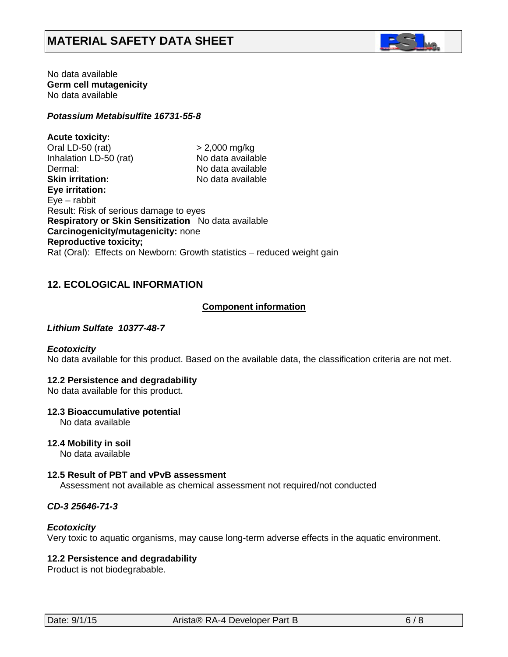

No data available **Germ cell mutagenicity** No data available

#### *Potassium Metabisulfite 16731-55-8*

**Acute toxicity:** Oral LD-50 (rat)  $>$  2,000 mg/kg<br>
Inhalation LD-50 (rat) No data available Inhalation LD-50 (rat) Dermal: No data available **Skin irritation:** No data available **Eye irritation:**  Eye – rabbit Result: Risk of serious damage to eyes **Respiratory or Skin Sensitization** No data available **Carcinogenicity/mutagenicity:** none **Reproductive toxicity;** Rat (Oral): Effects on Newborn: Growth statistics – reduced weight gain

# **12. ECOLOGICAL INFORMATION**

#### Co**C***C***omponent information**

#### *Lithium Sulfate 10377-48-7*

#### *Ecotoxicity*

No data available for this product. Based on the available data, the classification criteria are not met.

#### **12.2 Persistence and degradability**

No data available for this product.

#### **12.3 Bioaccumulative potential**

No data available

#### **12.4 Mobility in soil**

No data available

#### **12.5 Result of PBT and vPvB assessment**

Assessment not available as chemical assessment not required/not conducted

#### *CD-3 25646-71-3*

#### *Ecotoxicity*

Very toxic to aquatic organisms, may cause long-term adverse effects in the aquatic environment.

#### **12.2 Persistence and degradability**

Product is not biodegrabable.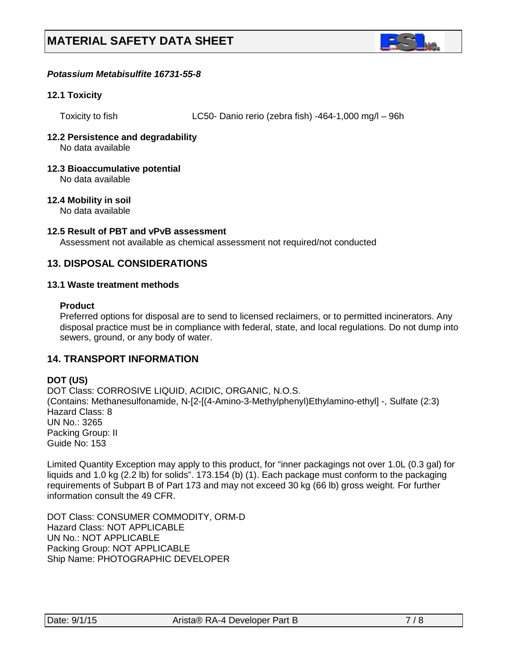

### *Potassium Metabisulfite 16731-55-8*

#### **12.1 Toxicity**

Toxicity to fish LC50- Danio rerio (zebra fish) -464-1,000 mg/l – 96h

# **12.2 Persistence and degradability**

No data available

# **12.3 Bioaccumulative potential**

No data available

# **12.4 Mobility in soil**

No data available

#### **12.5 Result of PBT and vPvB assessment**

Assessment not available as chemical assessment not required/not conducted

# **13. DISPOSAL CONSIDERATIONS**

#### **13.1 Waste treatment methods**

# **Product**

Preferred options for disposal are to send to licensed reclaimers, or to permitted incinerators. Any disposal practice must be in compliance with federal, state, and local regulations. Do not dump into sewers, ground, or any body of water.

# **14. TRANSPORT INFORMATION**

# **DOT (US)**

DOT Class: CORROSIVE LIQUID, ACIDIC, ORGANIC, N.O.S. (Contains: Methanesulfonamide, N-[2-[(4-Amino-3-Methylphenyl)Ethylamino-ethyl] -, Sulfate (2:3) Hazard Class: 8 UN No.: 3265 Packing Group: II Guide No: 153

Limited Quantity Exception may apply to this product, for "inner packagings not over 1.0L (0.3 gal) for liquids and 1.0 kg (2.2 lb) for solids". 173.154 (b) (1). Each package must conform to the packaging requirements of Subpart B of Part 173 and may not exceed 30 kg (66 lb) gross weight. For further information consult the 49 CFR.

DOT Class: CONSUMER COMMODITY, ORM-D Hazard Class: NOT APPLICABLE UN No.: NOT APPLICABLE Packing Group: NOT APPLICABLE Ship Name: PHOTOGRAPHIC DEVELOPER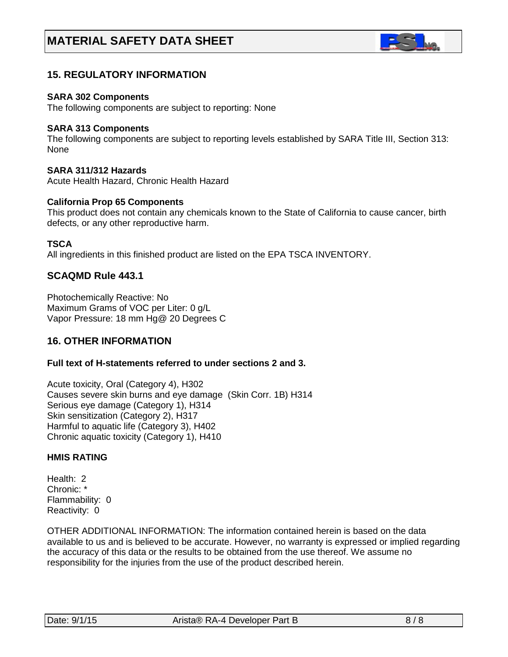

# **15. REGULATORY INFORMATION**

#### **SARA 302 Components**

The following components are subject to reporting: None

#### **SARA 313 Components**

The following components are subject to reporting levels established by SARA Title III, Section 313: None

# **SARA 311/312 Hazards**

Acute Health Hazard, Chronic Health Hazard

#### **California Prop 65 Components**

This product does not contain any chemicals known to the State of California to cause cancer, birth defects, or any other reproductive harm.

#### **TSCA**

All ingredients in this finished product are listed on the EPA TSCA INVENTORY.

# **SCAQMD Rule 443.1**

Photochemically Reactive: No Maximum Grams of VOC per Liter: 0 g/L Vapor Pressure: 18 mm Hg@ 20 Degrees C

# **16. OTHER INFORMATION**

# **Full text of H-statements referred to under sections 2 and 3.**

Acute toxicity, Oral (Category 4), H302 Causes severe skin burns and eye damage (Skin Corr. 1B) H314 Serious eye damage (Category 1), H314 Skin sensitization (Category 2), H317 Harmful to aquatic life (Category 3), H402 Chronic aquatic toxicity (Category 1), H410

# **HMIS RATING**

Health: 2 Chronic: \* Flammability: 0 Reactivity: 0

OTHER ADDITIONAL INFORMATION: The information contained herein is based on the data available to us and is believed to be accurate. However, no warranty is expressed or implied regarding the accuracy of this data or the results to be obtained from the use thereof. We assume no responsibility for the injuries from the use of the product described herein.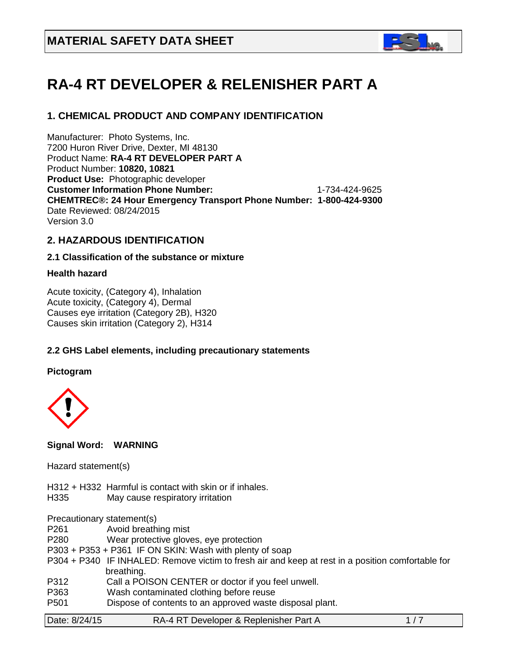

# **RA-4 RT DEVELOPER & RELENISHER PART A**

# **1. CHEMICAL PRODUCT AND COMPANY IDENTIFICATION**

Manufacturer: Photo Systems, Inc. 7200 Huron River Drive, Dexter, MI 48130 Product Name: **RA-4 RT DEVELOPER PART A**  Product Number: **10820, 10821 Product Use:** Photographic developer **Customer Information Phone Number:** 1-734-424-9625 **CHEMTREC®: 24 Hour Emergency Transport Phone Number: 1-800-424-9300**  Date Reviewed: 08/24/2015 Version 3.0

# **2. HAZARDOUS IDENTIFICATION**

# **2.1 Classification of the substance or mixture**

# **Health hazard**

Acute toxicity, (Category 4), Inhalation Acute toxicity, (Category 4), Dermal Causes eye irritation (Category 2B), H320 Causes skin irritation (Category 2), H314

# **2.2 GHS Label elements, including precautionary statements**

**Pictogram**



#### **Signal Word: WARNING**

Hazard statement(s)

- H312 + H332 Harmful is contact with skin or if inhales.
- H335 May cause respiratory irritation

Precautionary statement(s)

| P261 | Avoid breathing mist |  |
|------|----------------------|--|
|------|----------------------|--|

- P280 Wear protective gloves, eye protection
- P303 + P353 + P361 IF ON SKIN: Wash with plenty of soap
- P304 + P340 IF INHALED: Remove victim to fresh air and keep at rest in a position comfortable for breathing.
- P312 Call a POISON CENTER or doctor if you feel unwell.
- P363 Wash contaminated clothing before reuse
- P501 Dispose of contents to an approved waste disposal plant.

| Date: 8/24/15 | RA-4 RT Developer & Replenisher Part A |  |
|---------------|----------------------------------------|--|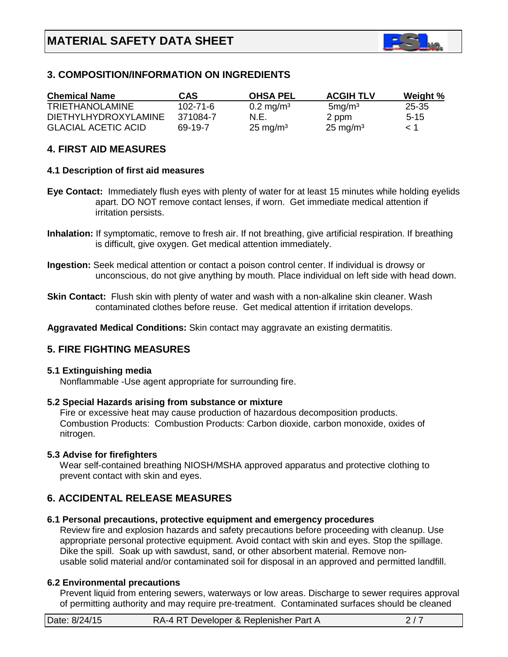

# **3. COMPOSITION/INFORMATION ON INGREDIENTS**

| <b>Chemical Name</b>        | CAS      | <b>OHSA PEL</b>         | <b>ACGIH TLV</b>    | Weight % |
|-----------------------------|----------|-------------------------|---------------------|----------|
| <b>TRIETHANOLAMINE</b>      | 102-71-6 | $0.2 \,\mathrm{mg/m^3}$ | $5 \text{mg/m}^3$   | 25-35    |
| <b>DIETHYLHYDROXYLAMINE</b> | 371084-7 | N.E.                    | 2 ppm               | $5 - 15$ |
| <b>GLACIAL ACETIC ACID</b>  | 69-19-7  | $25 \text{ mg/m}^3$     | $25 \text{ mg/m}^3$ | $\leq 1$ |

### **4. FIRST AID MEASURES**

#### **4.1 Description of first aid measures**

- **Eye Contact:** Immediately flush eyes with plenty of water for at least 15 minutes while holding eyelids apart. DO NOT remove contact lenses, if worn. Get immediate medical attention if irritation persists.
- **Inhalation:** If symptomatic, remove to fresh air. If not breathing, give artificial respiration. If breathing is difficult, give oxygen. Get medical attention immediately.
- **Ingestion:** Seek medical attention or contact a poison control center. If individual is drowsy or unconscious, do not give anything by mouth. Place individual on left side with head down.
- **Skin Contact:** Flush skin with plenty of water and wash with a non-alkaline skin cleaner. Wash contaminated clothes before reuse. Get medical attention if irritation develops.

**Aggravated Medical Conditions:** Skin contact may aggravate an existing dermatitis.

# **5. FIRE FIGHTING MEASURES**

#### **5.1 Extinguishing media**

Nonflammable -Use agent appropriate for surrounding fire.

#### **5.2 Special Hazards arising from substance or mixture**

 Fire or excessive heat may cause production of hazardous decomposition products. Combustion Products: Combustion Products: Carbon dioxide, carbon monoxide, oxides of nitrogen.

#### **5.3 Advise for firefighters**

Wear self-contained breathing NIOSH/MSHA approved apparatus and protective clothing to prevent contact with skin and eyes.

# **6. ACCIDENTAL RELEASE MEASURES**

#### **6.1 Personal precautions, protective equipment and emergency procedures**

Review fire and explosion hazards and safety precautions before proceeding with cleanup. Use appropriate personal protective equipment. Avoid contact with skin and eyes. Stop the spillage. Dike the spill. Soak up with sawdust, sand, or other absorbent material. Remove non usable solid material and/or contaminated soil for disposal in an approved and permitted landfill.

#### **6.2 Environmental precautions**

 Prevent liquid from entering sewers, waterways or low areas. Discharge to sewer requires approval of permitting authority and may require pre-treatment. Contaminated surfaces should be cleaned

| Date: 8/24/15 | RA-4 RT Developer & Replenisher Part A |  |
|---------------|----------------------------------------|--|
|               |                                        |  |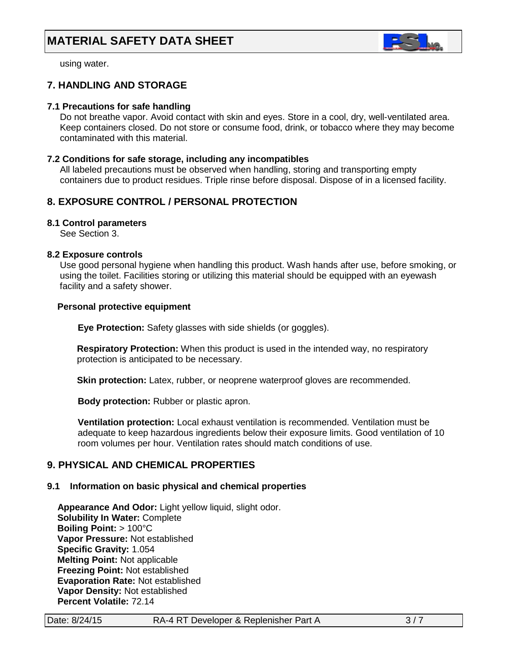

using water.

# **7. HANDLING AND STORAGE**

### **7.1 Precautions for safe handling**

 Do not breathe vapor. Avoid contact with skin and eyes. Store in a cool, dry, well-ventilated area. Keep containers closed. Do not store or consume food, drink, or tobacco where they may become contaminated with this material.

#### **7.2 Conditions for safe storage, including any incompatibles**

All labeled precautions must be observed when handling, storing and transporting empty containers due to product residues. Triple rinse before disposal. Dispose of in a licensed facility.

# **8. EXPOSURE CONTROL / PERSONAL PROTECTION**

#### **8.1 Control parameters**

See Section 3.

#### **8.2 Exposure controls**

Use good personal hygiene when handling this product. Wash hands after use, before smoking, or using the toilet. Facilities storing or utilizing this material should be equipped with an eyewash facility and a safety shower.

#### **Personal protective equipment**

**Eye Protection:** Safety glasses with side shields (or goggles).

**Respiratory Protection:** When this product is used in the intended way, no respiratory protection is anticipated to be necessary.

**Skin protection:** Latex, rubber, or neoprene waterproof gloves are recommended.

 **Body protection:** Rubber or plastic apron.

 **Ventilation protection:** Local exhaust ventilation is recommended. Ventilation must be adequate to keep hazardous ingredients below their exposure limits. Good ventilation of 10 room volumes per hour. Ventilation rates should match conditions of use.

# **9. PHYSICAL AND CHEMICAL PROPERTIES**

# **9.1 Information on basic physical and chemical properties**

 **Appearance And Odor:** Light yellow liquid, slight odor. **Solubility In Water:** Complete  **Boiling Point:** > 100°C  **Vapor Pressure:** Not established **Specific Gravity:** 1.054 **Melting Point:** Not applicable **Freezing Point:** Not established **Evaporation Rate:** Not established **Vapor Density:** Not established **Percent Volatile:** 72.14

|  | Date: 8/24/15 |  |
|--|---------------|--|
|--|---------------|--|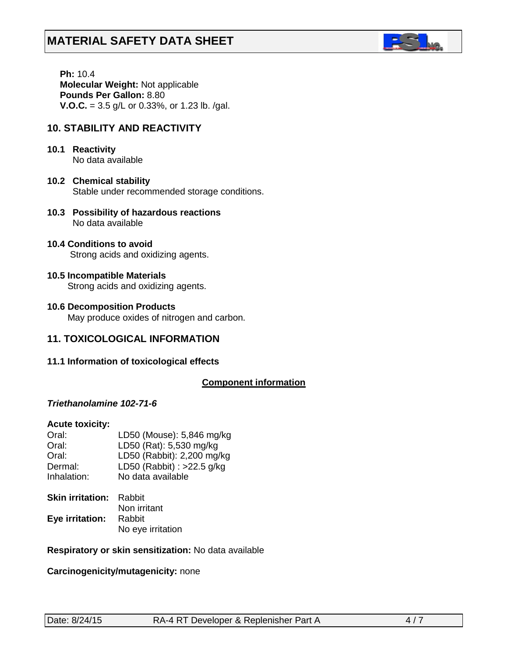

 **Ph:** 10.4 **Molecular Weight:** Not applicable  **Pounds Per Gallon:** 8.80 **V.O.C.** = 3.5 g/L or 0.33%, or 1.23 lb. /gal.

# **10. STABILITY AND REACTIVITY**

- **10.1 Reactivity** No data available
- **10.2 Chemical stability** Stable under recommended storage conditions.
- **10.3 Possibility of hazardous reactions** No data available
- **10.4 Conditions to avoid** Strong acids and oxidizing agents.

# **10.5 Incompatible Materials**

Strong acids and oxidizing agents.

**10.6 Decomposition Products** May produce oxides of nitrogen and carbon.

# **11. TOXICOLOGICAL INFORMATION**

**11.1 Information of toxicological effects**

#### **Component information**

# *Triethanolamine 102-71-6*

#### **Acute toxicity:**

| Oral:       | LD50 (Mouse): 5,846 mg/kg    |
|-------------|------------------------------|
| Oral:       | LD50 (Rat): 5,530 mg/kg      |
| Oral:       | LD50 (Rabbit): 2,200 mg/kg   |
| Dermal:     | LD50 (Rabbit) : $>22.5$ g/kg |
| Inhalation: | No data available            |

| <b>Skin irritation:</b> | Rabbit            |
|-------------------------|-------------------|
|                         | Non irritant      |
| Eye irritation:         | Rabbit            |
|                         | No eye irritation |

#### **Respiratory or skin sensitization:** No data available

#### **Carcinogenicity/mutagenicity:** none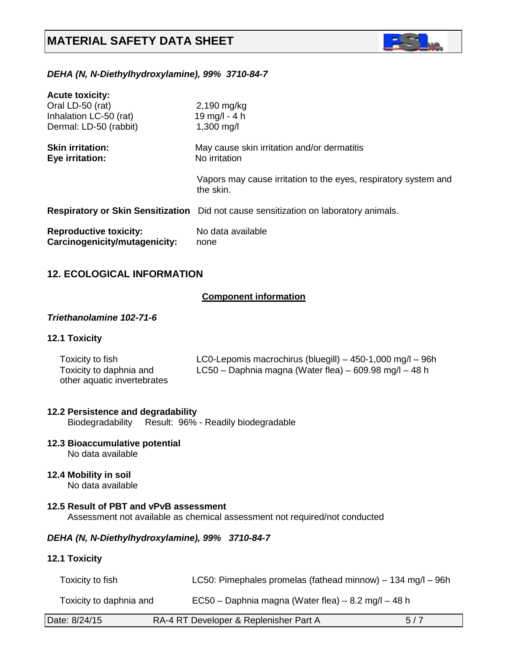

# *DEHA (N, N-Diethylhydroxylamine), 99% 3710-84-7*

| <b>Acute toxicity:</b>                                         |                                                                                      |
|----------------------------------------------------------------|--------------------------------------------------------------------------------------|
| Oral LD-50 (rat)                                               | 2,190 mg/kg                                                                          |
| Inhalation LC-50 (rat)                                         | 19 mg/l - 4 h                                                                        |
| Dermal: LD-50 (rabbit)                                         | $1,300 \,\mathrm{mg/l}$                                                              |
| <b>Skin irritation:</b><br>Eye irritation:                     | May cause skin irritation and/or dermatitis<br>No irritation                         |
|                                                                | Vapors may cause irritation to the eyes, respiratory system and<br>the skin.         |
|                                                                | Respiratory or Skin Sensitization Did not cause sensitization on laboratory animals. |
| <b>Reproductive toxicity:</b><br>Carcinogenicity/mutagenicity: | No data available<br>none                                                            |

# **12. ECOLOGICAL INFORMATION**

# *<sup>U</sup>***Component information**

#### *Triethanolamine 102-71-6*

### **12.1 Toxicity**

| Toxicity to fish            | LC0-Lepomis macrochirus (bluegill) $-$ 450-1,000 mg/l $-$ 96h |
|-----------------------------|---------------------------------------------------------------|
| Toxicity to daphnia and     | LC50 – Daphnia magna (Water flea) – 609.98 mg/l – 48 h        |
| other aquatic invertebrates |                                                               |

#### **12.2 Persistence and degradability**

Biodegradability Result: 96% - Readily biodegradable

# **12.3 Bioaccumulative potential**

No data available

#### **12.4 Mobility in soil** No data available

#### **12.5 Result of PBT and vPvB assessment** Assessment not available as chemical assessment not required/not conducted

#### *DEHA (N, N-Diethylhydroxylamine), 99% 3710-84-7*

#### **12.1 Toxicity**

| Toxicity to fish        | LC50: Pimephales promelas (fathead minnow) $-$ 134 mg/l $-$ 96h |
|-------------------------|-----------------------------------------------------------------|
| Toxicity to daphnia and | $EC50 - Daphnia magna (Water flea) - 8.2 mg/l - 48 h$           |

| Date: 8/24/15 | RA-4 RT Developer & Replenisher Part A |  |
|---------------|----------------------------------------|--|
|---------------|----------------------------------------|--|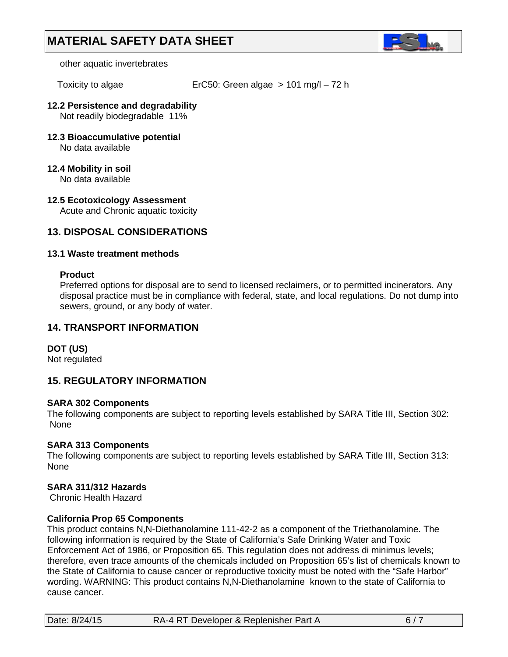

other aquatic invertebrates

Toxicity to algae ErC50: Green algae > 101 mg/l – 72 h

# **12.2 Persistence and degradability**

Not readily biodegradable 11%

- **12.3 Bioaccumulative potential** No data available
- **12.4 Mobility in soil** No data available
- **12.5 Ecotoxicology Assessment** Acute and Chronic aquatic toxicity

# **13. DISPOSAL CONSIDERATIONS**

# **13.1 Waste treatment methods**

#### **Product**

Preferred options for disposal are to send to licensed reclaimers, or to permitted incinerators. Any disposal practice must be in compliance with federal, state, and local regulations. Do not dump into sewers, ground, or any body of water.

# **14. TRANSPORT INFORMATION**

# **DOT (US)**

Not regulated

# **15. REGULATORY INFORMATION**

# **SARA 302 Components**

The following components are subject to reporting levels established by SARA Title III, Section 302: None

# **SARA 313 Components**

The following components are subject to reporting levels established by SARA Title III, Section 313: None

# **SARA 311/312 Hazards**

Chronic Health Hazard

#### **California Prop 65 Components**

This product contains N,N-Diethanolamine 111-42-2 as a component of the Triethanolamine. The following information is required by the State of California's Safe Drinking Water and Toxic Enforcement Act of 1986, or Proposition 65. This regulation does not address di minimus levels; therefore, even trace amounts of the chemicals included on Proposition 65's list of chemicals known to the State of California to cause cancer or reproductive toxicity must be noted with the "Safe Harbor" wording. WARNING: This product contains N,N-Diethanolamine known to the state of California to cause cancer.

| Date: 8/24/15 | RA-4 RT Developer & Replenisher Part A | 6/7 |
|---------------|----------------------------------------|-----|
|               |                                        |     |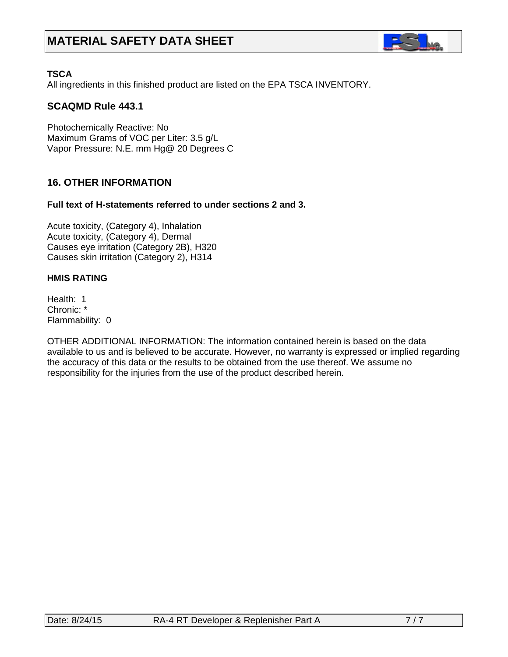

# **TSCA**

All ingredients in this finished product are listed on the EPA TSCA INVENTORY.

# **SCAQMD Rule 443.1**

Photochemically Reactive: No Maximum Grams of VOC per Liter: 3.5 g/L Vapor Pressure: N.E. mm Hg@ 20 Degrees C

# **16. OTHER INFORMATION**

# **Full text of H-statements referred to under sections 2 and 3.**

Acute toxicity, (Category 4), Inhalation Acute toxicity, (Category 4), Dermal Causes eye irritation (Category 2B), H320 Causes skin irritation (Category 2), H314

# **HMIS RATING**

Health: 1 Chronic: \* Flammability: 0

OTHER ADDITIONAL INFORMATION: The information contained herein is based on the data available to us and is believed to be accurate. However, no warranty is expressed or implied regarding the accuracy of this data or the results to be obtained from the use thereof. We assume no responsibility for the injuries from the use of the product described herein.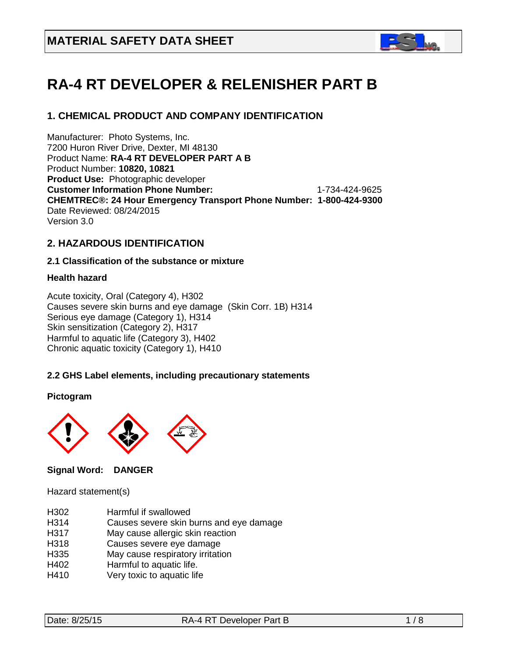

# **RA-4 RT DEVELOPER & RELENISHER PART B**

# **1. CHEMICAL PRODUCT AND COMPANY IDENTIFICATION**

Manufacturer: Photo Systems, Inc. 7200 Huron River Drive, Dexter, MI 48130 Product Name: **RA-4 RT DEVELOPER PART A B** Product Number: **10820, 10821 Product Use:** Photographic developer **Customer Information Phone Number:** 1-734-424-9625 **CHEMTREC®: 24 Hour Emergency Transport Phone Number: 1-800-424-9300**  Date Reviewed: 08/24/2015 Version 3.0

# **2. HAZARDOUS IDENTIFICATION**

# **2.1 Classification of the substance or mixture**

# **Health hazard**

Acute toxicity, Oral (Category 4), H302 Causes severe skin burns and eye damage (Skin Corr. 1B) H314 Serious eye damage (Category 1), H314 Skin sensitization (Category 2), H317 Harmful to aquatic life (Category 3), H402 Chronic aquatic toxicity (Category 1), H410

# **2.2 GHS Label elements, including precautionary statements**

#### **Pictogram**



# **Signal Word: DANGER**

Hazard statement(s)

- H<sub>302</sub> Harmful if swallowed<br>H<sub>314</sub> Causes severe skin h
- Causes severe skin burns and eye damage
- H317 May cause allergic skin reaction
- H318 Causes severe eye damage
- H335 May cause respiratory irritation
- H402 Harmful to aquatic life.
- H410 Very toxic to aquatic life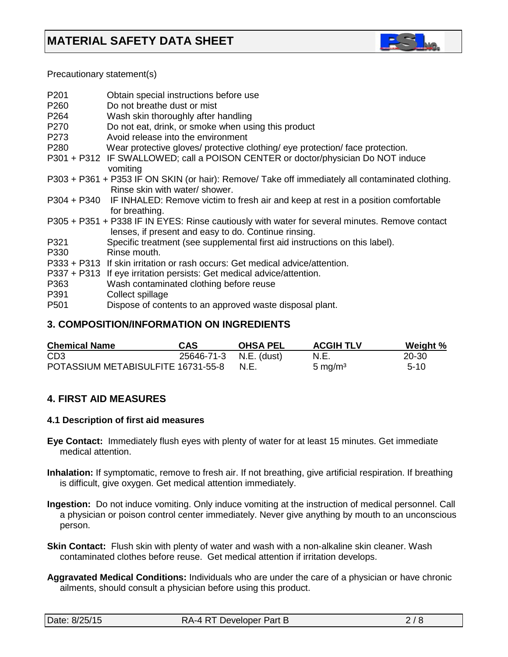

Precautionary statement(s)

| P201             | Obtain special instructions before use                                                           |
|------------------|--------------------------------------------------------------------------------------------------|
| P260             | Do not breathe dust or mist                                                                      |
| P <sub>264</sub> | Wash skin thoroughly after handling                                                              |
| P270             | Do not eat, drink, or smoke when using this product                                              |
| P273             | Avoid release into the environment                                                               |
| P280             | Wear protective gloves/ protective clothing/ eye protection/ face protection.                    |
|                  | P301 + P312 IF SWALLOWED; call a POISON CENTER or doctor/physician Do NOT induce                 |
|                  | vomiting                                                                                         |
|                  | P303 + P361 + P353 IF ON SKIN (or hair): Remove/ Take off immediately all contaminated clothing. |
|                  | Rinse skin with water/ shower.                                                                   |
|                  | P304 + P340 IF INHALED: Remove victim to fresh air and keep at rest in a position comfortable    |
|                  | for breathing.                                                                                   |
|                  | P305 + P351 + P338 IF IN EYES: Rinse cautiously with water for several minutes. Remove contact   |
|                  | lenses, if present and easy to do. Continue rinsing.                                             |
| P321             | Specific treatment (see supplemental first aid instructions on this label).                      |
| P330             | Rinse mouth.                                                                                     |
|                  | P333 + P313 If skin irritation or rash occurs: Get medical advice/attention.                     |
|                  | P337 + P313 If eye irritation persists: Get medical advice/attention.                            |
| P363             | Wash contaminated clothing before reuse                                                          |
| P391             | Collect spillage                                                                                 |
| P <sub>501</sub> | Dispose of contents to an approved waste disposal plant.                                         |
|                  |                                                                                                  |

# **3. COMPOSITION/INFORMATION ON INGREDIENTS**

| <b>Chemical Name</b>               | <b>CAS</b>             | <b>OHSA PEL</b> | <b>ACGIH TLV</b>    | Weight % |
|------------------------------------|------------------------|-----------------|---------------------|----------|
| CD <sub>3</sub>                    | 25646-71-3 N.E. (dust) |                 | N.E.                | 20-30    |
| POTASSIUM METABISULFITE 16731-55-8 |                        | N.E.            | 5 mg/m <sup>3</sup> | $5-10$   |

# **4. FIRST AID MEASURES**

#### **4.1 Description of first aid measures**

- **Eye Contact:** Immediately flush eyes with plenty of water for at least 15 minutes. Get immediate medical attention.
- **Inhalation:** If symptomatic, remove to fresh air. If not breathing, give artificial respiration. If breathing is difficult, give oxygen. Get medical attention immediately.
- **Ingestion:** Do not induce vomiting. Only induce vomiting at the instruction of medical personnel. Call a physician or poison control center immediately. Never give anything by mouth to an unconscious person.
- **Skin Contact:** Flush skin with plenty of water and wash with a non-alkaline skin cleaner. Wash contaminated clothes before reuse. Get medical attention if irritation develops.
- **Aggravated Medical Conditions:** Individuals who are under the care of a physician or have chronic ailments, should consult a physician before using this product.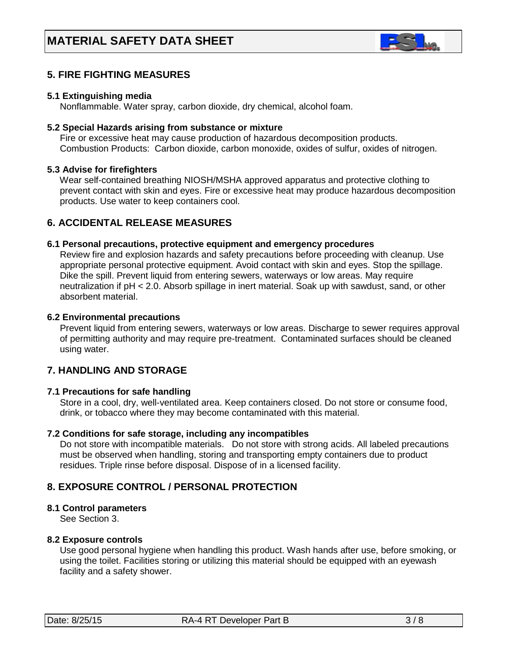

# **5. FIRE FIGHTING MEASURES**

#### **5.1 Extinguishing media**

Nonflammable. Water spray, carbon dioxide, dry chemical, alcohol foam.

#### **5.2 Special Hazards arising from substance or mixture**

 Fire or excessive heat may cause production of hazardous decomposition products. Combustion Products: Carbon dioxide, carbon monoxide, oxides of sulfur, oxides of nitrogen.

#### **5.3 Advise for firefighters**

Wear self-contained breathing NIOSH/MSHA approved apparatus and protective clothing to prevent contact with skin and eyes. Fire or excessive heat may produce hazardous decomposition products. Use water to keep containers cool.

# **6. ACCIDENTAL RELEASE MEASURES**

#### **6.1 Personal precautions, protective equipment and emergency procedures**

Review fire and explosion hazards and safety precautions before proceeding with cleanup. Use appropriate personal protective equipment. Avoid contact with skin and eyes. Stop the spillage. Dike the spill. Prevent liquid from entering sewers, waterways or low areas. May require neutralization if pH < 2.0. Absorb spillage in inert material. Soak up with sawdust, sand, or other absorbent material.

#### **6.2 Environmental precautions**

 Prevent liquid from entering sewers, waterways or low areas. Discharge to sewer requires approval of permitting authority and may require pre-treatment. Contaminated surfaces should be cleaned using water.

# **7. HANDLING AND STORAGE**

#### **7.1 Precautions for safe handling**

 Store in a cool, dry, well-ventilated area. Keep containers closed. Do not store or consume food, drink, or tobacco where they may become contaminated with this material.

#### **7.2 Conditions for safe storage, including any incompatibles**

Do not store with incompatible materials. Do not store with strong acids. All labeled precautions must be observed when handling, storing and transporting empty containers due to product residues. Triple rinse before disposal. Dispose of in a licensed facility.

# **8. EXPOSURE CONTROL / PERSONAL PROTECTION**

#### **8.1 Control parameters**

See Section 3.

#### **8.2 Exposure controls**

Use good personal hygiene when handling this product. Wash hands after use, before smoking, or using the toilet. Facilities storing or utilizing this material should be equipped with an eyewash facility and a safety shower.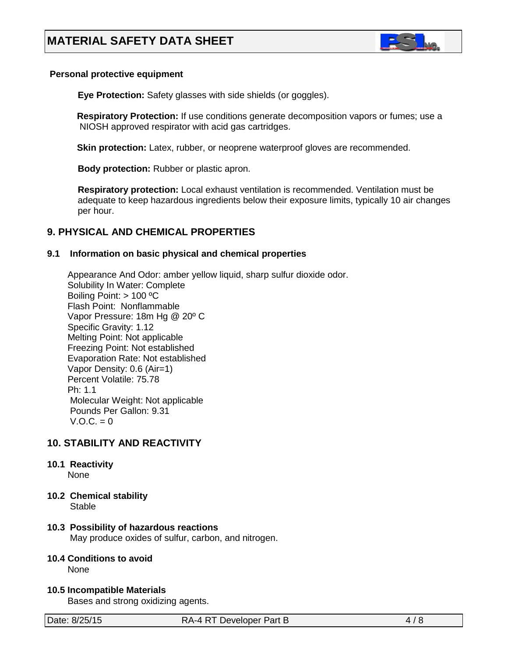

#### **Personal protective equipment**

**Eye Protection:** Safety glasses with side shields (or goggles).

**Respiratory Protection:** If use conditions generate decomposition vapors or fumes; use a NIOSH approved respirator with acid gas cartridges.

**Skin protection:** Latex, rubber, or neoprene waterproof gloves are recommended.

 **Body protection:** Rubber or plastic apron.

 **Respiratory protection:** Local exhaust ventilation is recommended. Ventilation must be adequate to keep hazardous ingredients below their exposure limits, typically 10 air changes per hour.

# **9. PHYSICAL AND CHEMICAL PROPERTIES**

# **9.1 Information on basic physical and chemical properties**

Appearance And Odor: amber yellow liquid, sharp sulfur dioxide odor. Solubility In Water: Complete Boiling Point: > 100 ºC Flash Point: Nonflammable Vapor Pressure: 18m Hg @ 20º C Specific Gravity: 1.12 Melting Point: Not applicable Freezing Point: Not established Evaporation Rate: Not established Vapor Density: 0.6 (Air=1) Percent Volatile: 75.78 Ph: 1.1 Molecular Weight: Not applicable Pounds Per Gallon: 9.31  $V.O.C. = 0$ 

# **10. STABILITY AND REACTIVITY**

# **10.1 Reactivity**

None

**10.2 Chemical stability**

Stable

# **10.3 Possibility of hazardous reactions**

May produce oxides of sulfur, carbon, and nitrogen.

# **10.4 Conditions to avoid**

None

**10.5 Incompatible Materials**

Bases and strong oxidizing agents.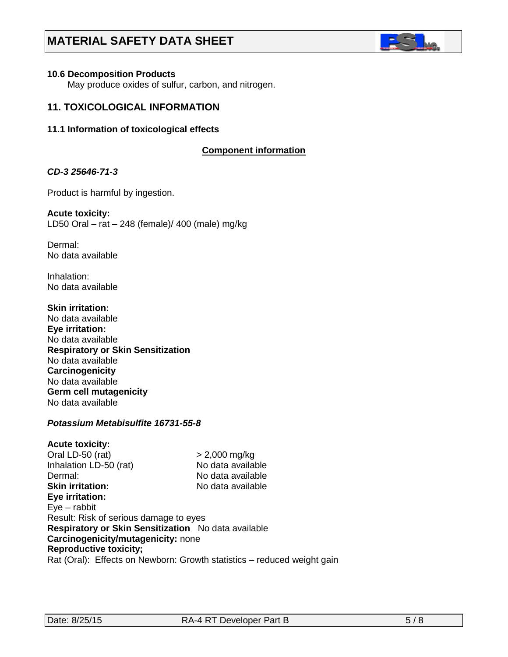

#### **10.6 Decomposition Products**

May produce oxides of sulfur, carbon, and nitrogen.

# **11. TOXICOLOGICAL INFORMATION**

#### **11.1 Information of toxicological effects**

#### **C***C***omponent information**

#### *CD-3 25646-71-3*

Product is harmful by ingestion.

#### **Acute toxicity:** LD50 Oral – rat – 248 (female)/ 400 (male) mg/kg

Dermal: No data available

Inhalation: No data available

**Skin irritation:**  No data available **Eye irritation:**  No data available **Respiratory or Skin Sensitization** No data available **Carcinogenicity** No data available **Germ cell mutagenicity** No data available

# *Potassium Metabisulfite 16731-55-8*

#### **Acute toxicity:** Oral LD-50 (rat) > 2,000 mg/kg Inhalation LD-50 (rat) No data available Dermal: No data available **Skin irritation:** No data available **Eye irritation:**  Eye – rabbit Result: Risk of serious damage to eyes **Respiratory or Skin Sensitization** No data available **Carcinogenicity/mutagenicity:** none **Reproductive toxicity;** Rat (Oral): Effects on Newborn: Growth statistics – reduced weight gain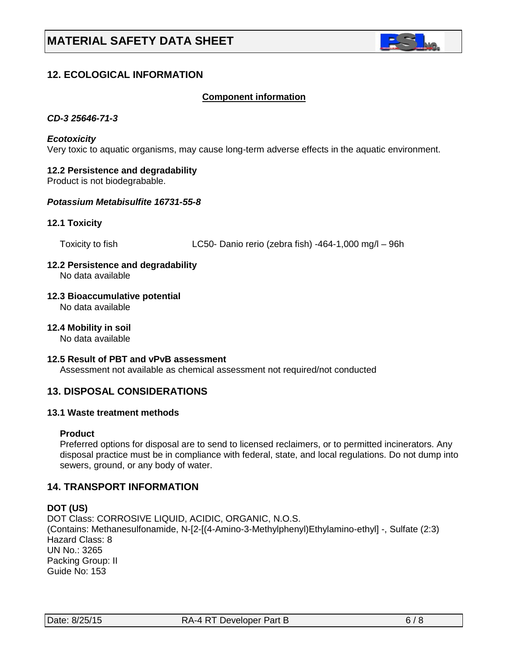

# **12. ECOLOGICAL INFORMATION**

#### Co**C***C***omponent information**

#### *CD-3 25646-71-3*

#### *Ecotoxicity*

Very toxic to aquatic organisms, may cause long-term adverse effects in the aquatic environment.

#### **12.2 Persistence and degradability**

Product is not biodegrabable.

### *Potassium Metabisulfite 16731-55-8*

#### **12.1 Toxicity**

Toxicity to fish LC50- Danio rerio (zebra fish) -464-1,000 mg/l – 96h

#### **12.2 Persistence and degradability** No data available

- **12.3 Bioaccumulative potential** No data available
- **12.4 Mobility in soil**

No data available

#### **12.5 Result of PBT and vPvB assessment**

Assessment not available as chemical assessment not required/not conducted

# **13. DISPOSAL CONSIDERATIONS**

#### **13.1 Waste treatment methods**

#### **Product**

Preferred options for disposal are to send to licensed reclaimers, or to permitted incinerators. Any disposal practice must be in compliance with federal, state, and local regulations. Do not dump into sewers, ground, or any body of water.

#### **14. TRANSPORT INFORMATION**

#### **DOT (US)**

DOT Class: CORROSIVE LIQUID, ACIDIC, ORGANIC, N.O.S. (Contains: Methanesulfonamide, N-[2-[(4-Amino-3-Methylphenyl)Ethylamino-ethyl] -, Sulfate (2:3) Hazard Class: 8 UN No.: 3265 Packing Group: II Guide No: 153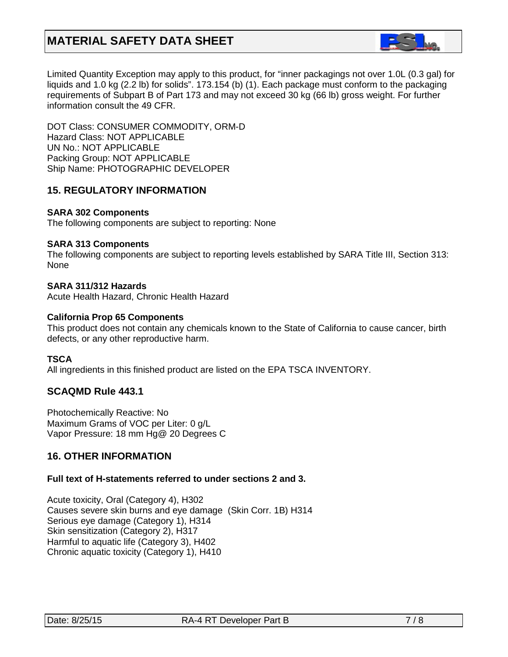

Limited Quantity Exception may apply to this product, for "inner packagings not over 1.0L (0.3 gal) for liquids and 1.0 kg (2.2 lb) for solids". 173.154 (b) (1). Each package must conform to the packaging requirements of Subpart B of Part 173 and may not exceed 30 kg (66 lb) gross weight. For further information consult the 49 CFR.

DOT Class: CONSUMER COMMODITY, ORM-D Hazard Class: NOT APPLICABLE UN No.: NOT APPLICABLE Packing Group: NOT APPLICABLE Ship Name: PHOTOGRAPHIC DEVELOPER

# **15. REGULATORY INFORMATION**

#### **SARA 302 Components**

The following components are subject to reporting: None

#### **SARA 313 Components**

The following components are subject to reporting levels established by SARA Title III, Section 313: None

#### **SARA 311/312 Hazards**

Acute Health Hazard, Chronic Health Hazard

#### **California Prop 65 Components**

This product does not contain any chemicals known to the State of California to cause cancer, birth defects, or any other reproductive harm.

# **TSCA**

All ingredients in this finished product are listed on the EPA TSCA INVENTORY.

# **SCAQMD Rule 443.1**

Photochemically Reactive: No Maximum Grams of VOC per Liter: 0 g/L Vapor Pressure: 18 mm Hg@ 20 Degrees C

# **16. OTHER INFORMATION**

# **Full text of H-statements referred to under sections 2 and 3.**

Acute toxicity, Oral (Category 4), H302 Causes severe skin burns and eye damage (Skin Corr. 1B) H314 Serious eye damage (Category 1), H314 Skin sensitization (Category 2), H317 Harmful to aquatic life (Category 3), H402 Chronic aquatic toxicity (Category 1), H410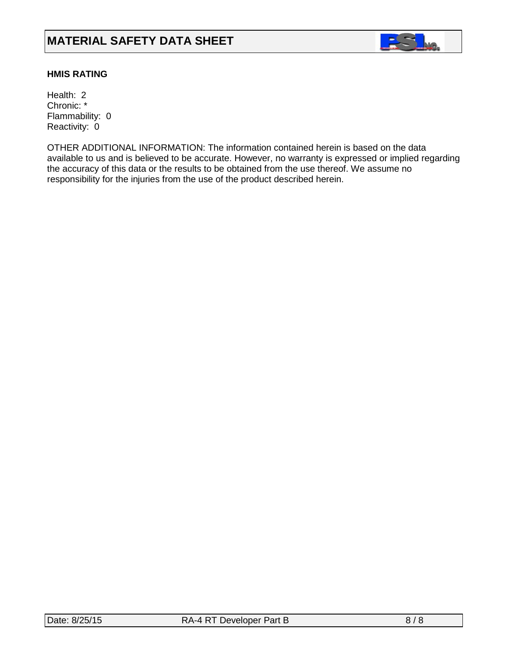

# **HMIS RATING**

Health: 2 Chronic: \* Flammability: 0 Reactivity: 0

OTHER ADDITIONAL INFORMATION: The information contained herein is based on the data available to us and is believed to be accurate. However, no warranty is expressed or implied regarding the accuracy of this data or the results to be obtained from the use thereof. We assume no responsibility for the injuries from the use of the product described herein.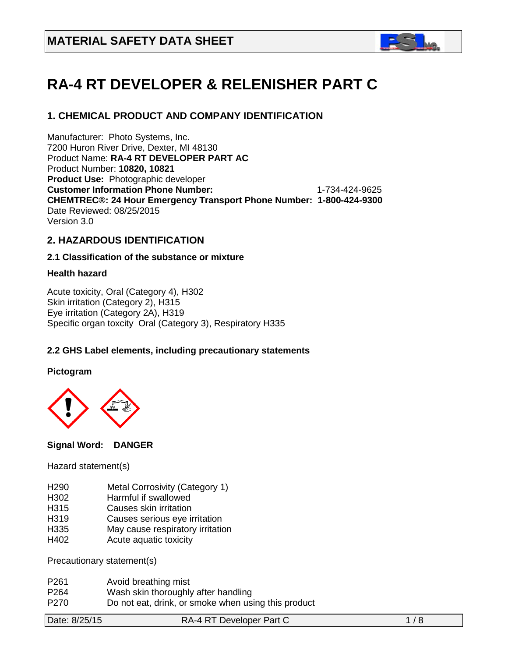

# **RA-4 RT DEVELOPER & RELENISHER PART C**

# **1. CHEMICAL PRODUCT AND COMPANY IDENTIFICATION**

Manufacturer: Photo Systems, Inc. 7200 Huron River Drive, Dexter, MI 48130 Product Name: **RA-4 RT DEVELOPER PART AC** Product Number: **10820, 10821 Product Use:** Photographic developer **Customer Information Phone Number:** 1-734-424-9625 **CHEMTREC®: 24 Hour Emergency Transport Phone Number: 1-800-424-9300**  Date Reviewed: 08/25/2015 Version 3.0

# **2. HAZARDOUS IDENTIFICATION**

# **2.1 Classification of the substance or mixture**

# **Health hazard**

Acute toxicity, Oral (Category 4), H302 Skin irritation (Category 2), H315 Eye irritation (Category 2A), H319 Specific organ toxcity Oral (Category 3), Respiratory H335

# **2.2 GHS Label elements, including precautionary statements**

# **Pictogram**



# **Signal Word: DANGER**

Hazard statement(s)

- H290 Metal Corrosivity (Category 1)
- H302 Harmful if swallowed
- H315 Causes skin irritation
- H319 Causes serious eye irritation
- H335 May cause respiratory irritation
- H402 Acute aquatic toxicity

Precautionary statement(s)

- P261 Avoid breathing mist
- P264 Wash skin thoroughly after handling
- P270 Do not eat, drink, or smoke when using this product

| Date: 8/25/15 | RA-4 RT Developer Part C | 1/8 |
|---------------|--------------------------|-----|
|---------------|--------------------------|-----|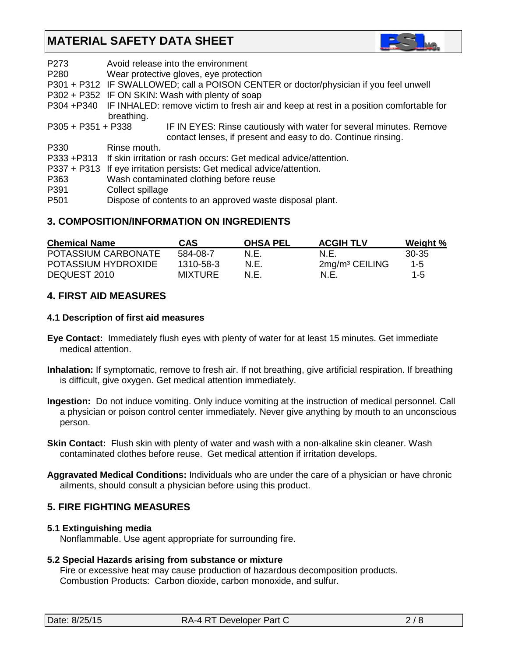

| P273                 | Avoid release into the environment                                                               |
|----------------------|--------------------------------------------------------------------------------------------------|
| P <sub>280</sub>     | Wear protective gloves, eye protection                                                           |
|                      | P301 + P312 IF SWALLOWED; call a POISON CENTER or doctor/physician if you feel unwell            |
|                      | P302 + P352 IF ON SKIN: Wash with plenty of soap                                                 |
|                      | P304 +P340 IF INHALED: remove victim to fresh air and keep at rest in a position comfortable for |
|                      | breathing.                                                                                       |
| $P305 + P351 + P338$ | IF IN EYES: Rinse cautiously with water for several minutes. Remove                              |
|                      | contact lenses, if present and easy to do. Continue rinsing.                                     |
| P330                 | Rinse mouth.                                                                                     |
|                      | P333 +P313 If skin irritation or rash occurs: Get medical advice/attention.                      |
|                      | P337 + P313 If eye irritation persists: Get medical advice/attention.                            |
| P363                 | Wash contaminated clothing before reuse                                                          |
| P391                 | Collect spillage                                                                                 |
| P <sub>501</sub>     | Dispose of contents to an approved waste disposal plant.                                         |

# **3. COMPOSITION/INFORMATION ON INGREDIENTS**

| <b>Chemical Name</b> | <b>CAS</b>     | <b>OHSA PEL</b> | <b>ACGIH TLV</b>           | Weight % |
|----------------------|----------------|-----------------|----------------------------|----------|
| POTASSIUM CARBONATE  | 584-08-7       | N.E.            | N.E                        | 30-35    |
| POTASSIUM HYDROXIDE  | 1310-58-3      | N.E.            | 2mg/m <sup>3</sup> CEILING | $1 - 5$  |
| DEQUEST 2010         | <b>MIXTURE</b> | N.E.            | N.E.                       | 1-5      |

# **4. FIRST AID MEASURES**

# **4.1 Description of first aid measures**

- **Eye Contact:** Immediately flush eyes with plenty of water for at least 15 minutes. Get immediate medical attention.
- **Inhalation:** If symptomatic, remove to fresh air. If not breathing, give artificial respiration. If breathing is difficult, give oxygen. Get medical attention immediately.
- **Ingestion:** Do not induce vomiting. Only induce vomiting at the instruction of medical personnel. Call a physician or poison control center immediately. Never give anything by mouth to an unconscious person.
- **Skin Contact:** Flush skin with plenty of water and wash with a non-alkaline skin cleaner. Wash contaminated clothes before reuse. Get medical attention if irritation develops.
- **Aggravated Medical Conditions:** Individuals who are under the care of a physician or have chronic ailments, should consult a physician before using this product.

# **5. FIRE FIGHTING MEASURES**

# **5.1 Extinguishing media**

Nonflammable. Use agent appropriate for surrounding fire.

# **5.2 Special Hazards arising from substance or mixture**

 Fire or excessive heat may cause production of hazardous decomposition products. Combustion Products: Carbon dioxide, carbon monoxide, and sulfur.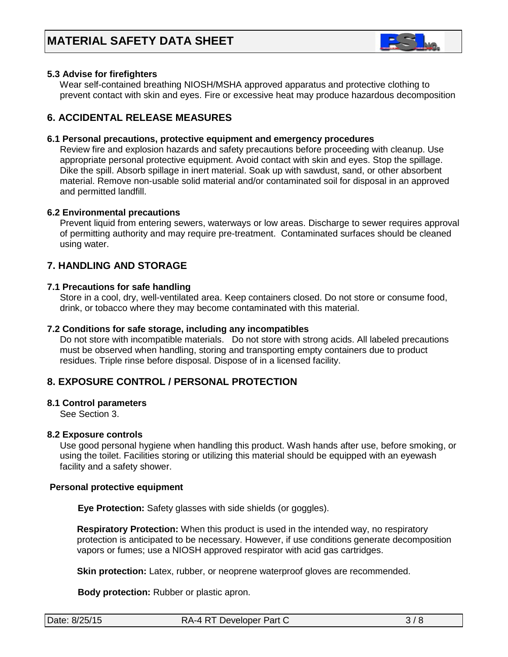

# **5.3 Advise for firefighters**

Wear self-contained breathing NIOSH/MSHA approved apparatus and protective clothing to prevent contact with skin and eyes. Fire or excessive heat may produce hazardous decomposition

# **6. ACCIDENTAL RELEASE MEASURES**

# **6.1 Personal precautions, protective equipment and emergency procedures**

Review fire and explosion hazards and safety precautions before proceeding with cleanup. Use appropriate personal protective equipment. Avoid contact with skin and eyes. Stop the spillage. Dike the spill. Absorb spillage in inert material. Soak up with sawdust, sand, or other absorbent material. Remove non-usable solid material and/or contaminated soil for disposal in an approved and permitted landfill.

#### **6.2 Environmental precautions**

 Prevent liquid from entering sewers, waterways or low areas. Discharge to sewer requires approval of permitting authority and may require pre-treatment. Contaminated surfaces should be cleaned using water.

# **7. HANDLING AND STORAGE**

#### **7.1 Precautions for safe handling**

 Store in a cool, dry, well-ventilated area. Keep containers closed. Do not store or consume food, drink, or tobacco where they may become contaminated with this material.

#### **7.2 Conditions for safe storage, including any incompatibles**

Do not store with incompatible materials. Do not store with strong acids. All labeled precautions must be observed when handling, storing and transporting empty containers due to product residues. Triple rinse before disposal. Dispose of in a licensed facility.

# **8. EXPOSURE CONTROL / PERSONAL PROTECTION**

#### **8.1 Control parameters**

See Section 3.

#### **8.2 Exposure controls**

Use good personal hygiene when handling this product. Wash hands after use, before smoking, or using the toilet. Facilities storing or utilizing this material should be equipped with an eyewash facility and a safety shower.

#### **Personal protective equipment**

**Eye Protection:** Safety glasses with side shields (or goggles).

**Respiratory Protection:** When this product is used in the intended way, no respiratory protection is anticipated to be necessary. However, if use conditions generate decomposition vapors or fumes; use a NIOSH approved respirator with acid gas cartridges.

**Skin protection:** Latex, rubber, or neoprene waterproof gloves are recommended.

 **Body protection:** Rubber or plastic apron.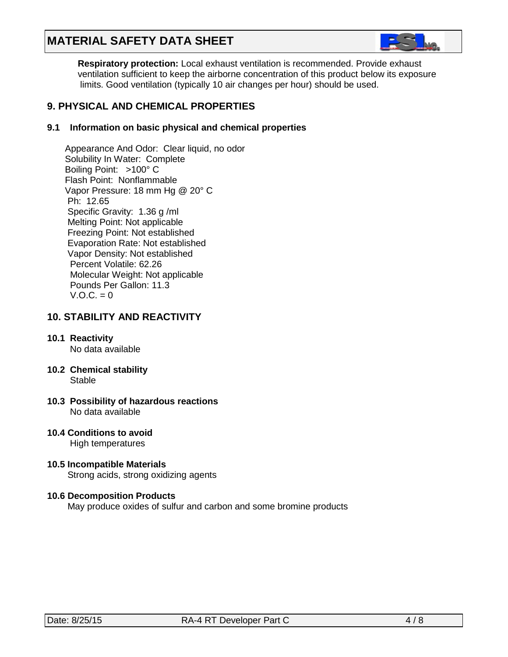

 **Respiratory protection:** Local exhaust ventilation is recommended. Provide exhaust ventilation sufficient to keep the airborne concentration of this product below its exposure limits. Good ventilation (typically 10 air changes per hour) should be used.

# **9. PHYSICAL AND CHEMICAL PROPERTIES**

# **9.1 Information on basic physical and chemical properties**

Appearance And Odor: Clear liquid, no odor Solubility In Water: Complete Boiling Point: >100° C Flash Point: Nonflammable Vapor Pressure: 18 mm Hg @ 20° C Ph: 12.65 Specific Gravity: 1.36 g /ml Melting Point: Not applicable Freezing Point: Not established Evaporation Rate: Not established Vapor Density: Not established Percent Volatile: 62.26 Molecular Weight: Not applicable Pounds Per Gallon: 11.3  $V.O.C. = 0$ 

# **10. STABILITY AND REACTIVITY**

#### **10.1 Reactivity** No data available

- **10.2 Chemical stability** Stable
- **10.3 Possibility of hazardous reactions** No data available
- **10.4 Conditions to avoid** High temperatures
- **10.5 Incompatible Materials** Strong acids, strong oxidizing agents

# **10.6 Decomposition Products**

May produce oxides of sulfur and carbon and some bromine products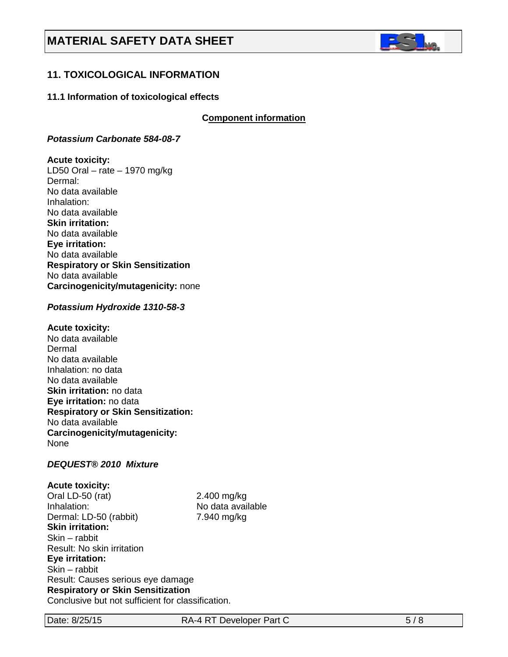

# **11. TOXICOLOGICAL INFORMATION**

#### **11.1 Information of toxicological effects**

**C***C***omponent information**

#### *Potassium Carbonate 584-08-7*

#### **Acute toxicity:**

LD50 Oral – rate – 1970 mg/kg Dermal: No data available Inhalation: No data available **Skin irritation:**  No data available **Eye irritation:**  No data available **Respiratory or Skin Sensitization** No data available **Carcinogenicity/mutagenicity:** none

#### *Potassium Hydroxide 1310-58-3*

#### **Acute toxicity:**

No data available Dermal No data available Inhalation: no data No data available **Skin irritation:** no data **Eye irritation:** no data **Respiratory or Skin Sensitization:** No data available **Carcinogenicity/mutagenicity:** None

#### *DEQUEST® 2010 Mixture*

**Acute toxicity:** Oral LD-50 (rat) 2.400 mg/kg Inhalation: No data available Dermal: LD-50 (rabbit) 7.940 mg/kg **Skin irritation:**  Skin – rabbit Result: No skin irritation **Eye irritation:**  Skin – rabbit Result: Causes serious eye damage **Respiratory or Skin Sensitization** Conclusive but not sufficient for classification.

Date: 8/25/15 RA-4 RT Developer Part C 5/8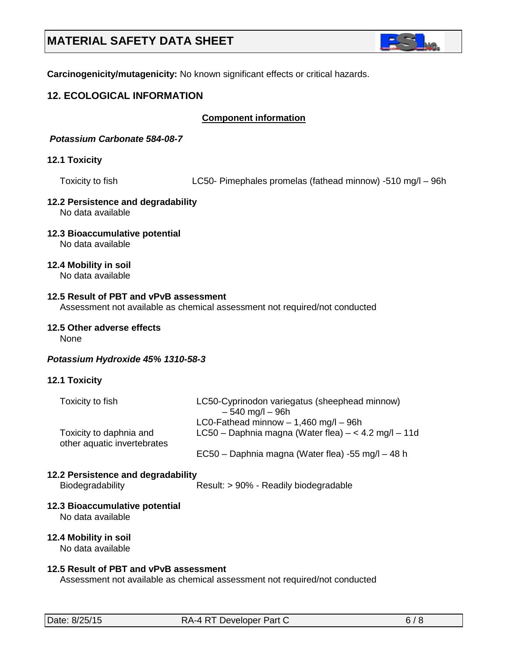

**Carcinogenicity/mutagenicity:** No known significant effects or critical hazards.

# **12. ECOLOGICAL INFORMATION**

### **Component information**

*Potassium Carbonate 584-08-7*

#### **12.1 Toxicity**

Toxicity to fish LC50- Pimephales promelas (fathead minnow) -510 mg/l – 96h

#### **12.2 Persistence and degradability** No data available

**12.3 Bioaccumulative potential**

No data available

**12.4 Mobility in soil**

No data available

# **12.5 Result of PBT and vPvB assessment**

Assessment not available as chemical assessment not required/not conducted

#### **12.5 Other adverse effects**

None

#### *Potassium Hydroxide 45% 1310-58-3*

#### **12.1 Toxicity**

| Toxicity to fish                                       | LC50-Cyprinodon variegatus (sheephead minnow)<br>$-540$ mg/l $-96h$                               |
|--------------------------------------------------------|---------------------------------------------------------------------------------------------------|
| Toxicity to daphnia and<br>other aquatic invertebrates | LC0-Fathead minnow $- 1,460$ mg/l $- 96h$<br>LC50 – Daphnia magna (Water flea) – < 4.2 mg/l – 11d |
|                                                        | EC50 – Daphnia magna (Water flea) -55 mg/l – 48 h                                                 |
| 12.2 Persistence and degradability<br>Biodegradability | Result: > 90% - Readily biodegradable                                                             |
| 12.3 Bioaccumulative potential<br>No data available    |                                                                                                   |
| 12.4 Mobility in soil                                  |                                                                                                   |

No data available

#### **12.5 Result of PBT and vPvB assessment**

Assessment not available as chemical assessment not required/not conducted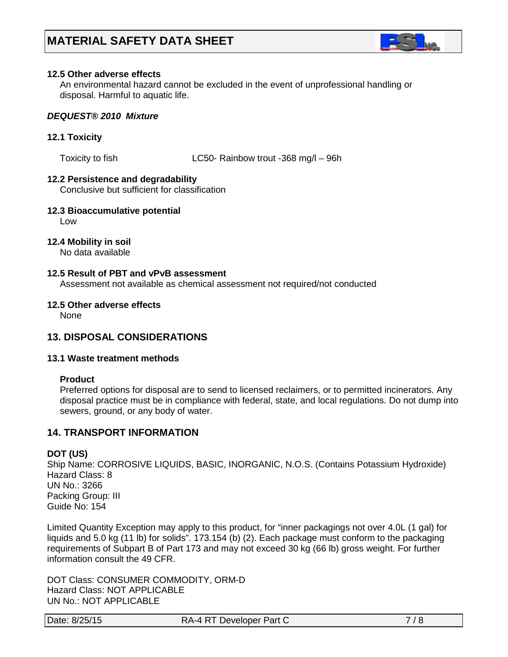

#### **12.5 Other adverse effects**

An environmental hazard cannot be excluded in the event of unprofessional handling or disposal. Harmful to aquatic life.

#### *DEQUEST® 2010 Mixture*

#### **12.1 Toxicity**

Toxicity to fish LC50- Rainbow trout -368 mg/l – 96h

#### **12.2 Persistence and degradability**

Conclusive but sufficient for classification

**12.3 Bioaccumulative potential**

Low

#### **12.4 Mobility in soil**

No data available

# **12.5 Result of PBT and vPvB assessment**

Assessment not available as chemical assessment not required/not conducted

#### **12.5 Other adverse effects**

None

# **13. DISPOSAL CONSIDERATIONS**

#### **13.1 Waste treatment methods**

#### **Product**

Preferred options for disposal are to send to licensed reclaimers, or to permitted incinerators. Any disposal practice must be in compliance with federal, state, and local regulations. Do not dump into sewers, ground, or any body of water.

# **14. TRANSPORT INFORMATION**

#### **DOT (US)**

Ship Name: CORROSIVE LIQUIDS, BASIC, INORGANIC, N.O.S. (Contains Potassium Hydroxide) Hazard Class: 8 UN No.: 3266 Packing Group: III Guide No: 154

Limited Quantity Exception may apply to this product, for "inner packagings not over 4.0L (1 gal) for liquids and 5.0 kg (11 lb) for solids". 173.154 (b) (2). Each package must conform to the packaging requirements of Subpart B of Part 173 and may not exceed 30 kg (66 lb) gross weight. For further information consult the 49 CFR.

DOT Class: CONSUMER COMMODITY, ORM-D Hazard Class: NOT APPLICABLE UN No.: NOT APPLICABLE

Date: 8/25/15 RA-4 RT Developer Part C 7/8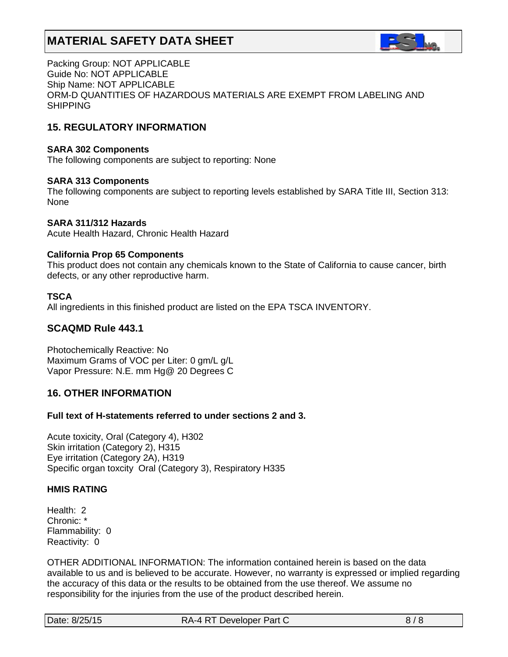

Packing Group: NOT APPLICABLE Guide No: NOT APPLICABLE Ship Name: NOT APPLICABLE ORM-D QUANTITIES OF HAZARDOUS MATERIALS ARE EXEMPT FROM LABELING AND SHIPPING

# **15. REGULATORY INFORMATION**

### **SARA 302 Components**

The following components are subject to reporting: None

#### **SARA 313 Components**

The following components are subject to reporting levels established by SARA Title III, Section 313: None

#### **SARA 311/312 Hazards**

Acute Health Hazard, Chronic Health Hazard

#### **California Prop 65 Components**

This product does not contain any chemicals known to the State of California to cause cancer, birth defects, or any other reproductive harm.

# **TSCA**

All ingredients in this finished product are listed on the EPA TSCA INVENTORY.

# **SCAQMD Rule 443.1**

Photochemically Reactive: No Maximum Grams of VOC per Liter: 0 gm/L g/L Vapor Pressure: N.E. mm Hg@ 20 Degrees C

# **16. OTHER INFORMATION**

# **Full text of H-statements referred to under sections 2 and 3.**

Acute toxicity, Oral (Category 4), H302 Skin irritation (Category 2), H315 Eye irritation (Category 2A), H319 Specific organ toxcity Oral (Category 3), Respiratory H335

# **HMIS RATING**

Health: 2 Chronic: \* Flammability: 0 Reactivity: 0

OTHER ADDITIONAL INFORMATION: The information contained herein is based on the data available to us and is believed to be accurate. However, no warranty is expressed or implied regarding the accuracy of this data or the results to be obtained from the use thereof. We assume no responsibility for the injuries from the use of the product described herein.

| Date: 8/25/15<br>RA-4 RT Developer Part C |  |
|-------------------------------------------|--|
|-------------------------------------------|--|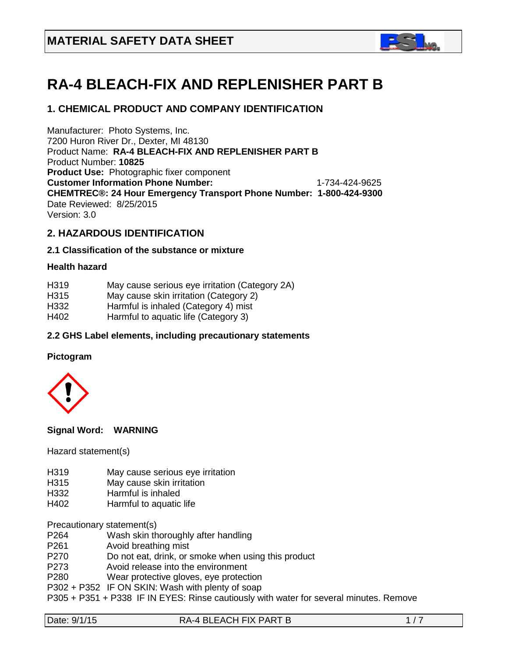

# **RA-4 BLEACH-FIX AND REPLENISHER PART B**

# **1. CHEMICAL PRODUCT AND COMPANY IDENTIFICATION**

Manufacturer: Photo Systems, Inc. 7200 Huron River Dr., Dexter, MI 48130 Product Name: **RA-4 BLEACH-FIX AND REPLENISHER PART B** Product Number: **10825 Product Use:** Photographic fixer component **Customer Information Phone Number:** 1-734-424-9625 **CHEMTREC®: 24 Hour Emergency Transport Phone Number: 1-800-424-9300**  Date Reviewed: 8/25/2015 Version: 3.0

# **2. HAZARDOUS IDENTIFICATION**

#### **2.1 Classification of the substance or mixture**

#### **Health hazard**

| H <sub>3</sub> 19 | May cause serious eye irritation (Category 2A) |
|-------------------|------------------------------------------------|
| H <sub>3</sub> 15 | May cause skin irritation (Category 2)         |
| H332              | Harmful is inhaled (Category 4) mist           |
| H402              | Harmful to aquatic life (Category 3)           |
|                   |                                                |

# **2.2 GHS Label elements, including precautionary statements**

#### **Pictogram**



#### **Signal Word: WARNING**

Hazard statement(s)

- H319 May cause serious eye irritation
- H315 May cause skin irritation
- H332 Harmful is inhaled
- H402 Harmful to aquatic life

Precautionary statement(s)

- P264 Wash skin thoroughly after handling
- P261 Avoid breathing mist
- P270 Do not eat, drink, or smoke when using this product
- P273 Avoid release into the environment
- P280 Wear protective gloves, eye protection
- P302 + P352 IF ON SKIN: Wash with plenty of soap
- P305 + P351 + P338 IF IN EYES: Rinse cautiously with water for several minutes. Remove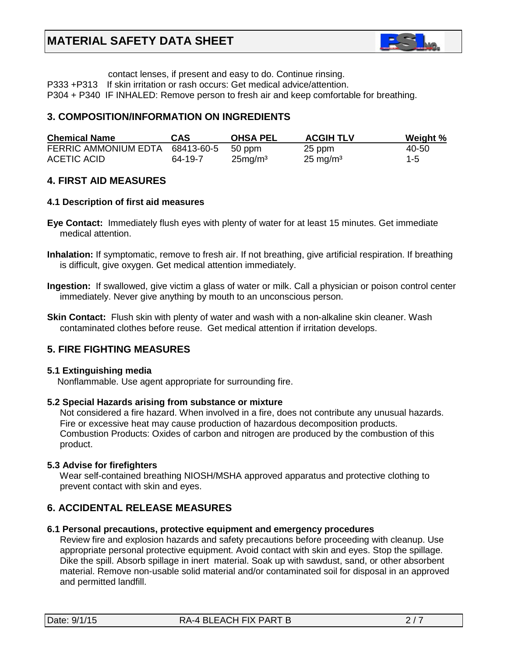

contact lenses, if present and easy to do. Continue rinsing.

P333 +P313 If skin irritation or rash occurs: Get medical advice/attention.

P304 + P340 IF INHALED: Remove person to fresh air and keep comfortable for breathing.

# **3. COMPOSITION/INFORMATION ON INGREDIENTS**

| <b>Chemical Name</b>                   | CAS     | <b>OHSA PEL</b>     | <b>ACGIH TLV</b>    | Weight % |
|----------------------------------------|---------|---------------------|---------------------|----------|
| FERRIC AMMONIUM EDTA 68413-60-5 50 ppm |         |                     | 25 ppm              | 40-50    |
| ACETIC ACID                            | 64-19-7 | 25mg/m <sup>3</sup> | $25 \text{ mg/m}^3$ | $1 - 5$  |

# **4. FIRST AID MEASURES**

#### **4.1 Description of first aid measures**

- **Eye Contact:** Immediately flush eyes with plenty of water for at least 15 minutes. Get immediate medical attention.
- **Inhalation:** If symptomatic, remove to fresh air. If not breathing, give artificial respiration. If breathing is difficult, give oxygen. Get medical attention immediately.
- **Ingestion:** If swallowed, give victim a glass of water or milk. Call a physician or poison control center immediately. Never give anything by mouth to an unconscious person.
- **Skin Contact:** Flush skin with plenty of water and wash with a non-alkaline skin cleaner. Wash contaminated clothes before reuse. Get medical attention if irritation develops.

# **5. FIRE FIGHTING MEASURES**

#### **5.1 Extinguishing media**

Nonflammable. Use agent appropriate for surrounding fire.

#### **5.2 Special Hazards arising from substance or mixture**

 Not considered a fire hazard. When involved in a fire, does not contribute any unusual hazards. Fire or excessive heat may cause production of hazardous decomposition products. Combustion Products: Oxides of carbon and nitrogen are produced by the combustion of this product.

#### **5.3 Advise for firefighters**

Wear self-contained breathing NIOSH/MSHA approved apparatus and protective clothing to prevent contact with skin and eyes.

# **6. ACCIDENTAL RELEASE MEASURES**

#### **6.1 Personal precautions, protective equipment and emergency procedures**

Review fire and explosion hazards and safety precautions before proceeding with cleanup. Use appropriate personal protective equipment. Avoid contact with skin and eyes. Stop the spillage. Dike the spill. Absorb spillage in inert material. Soak up with sawdust, sand, or other absorbent material. Remove non-usable solid material and/or contaminated soil for disposal in an approved and permitted landfill.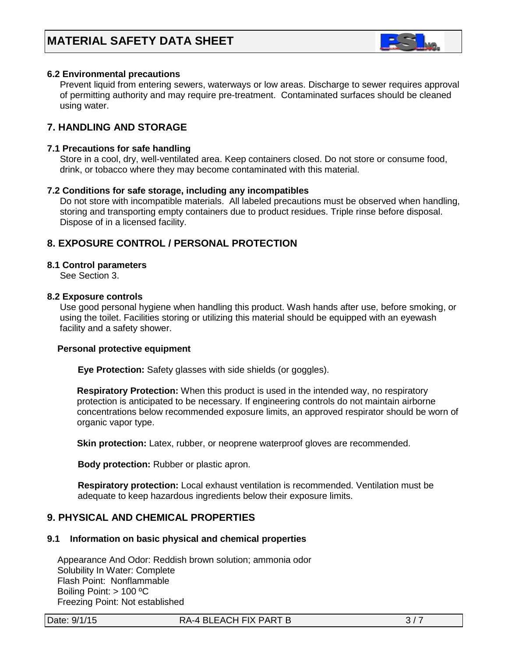

# **6.2 Environmental precautions**

 Prevent liquid from entering sewers, waterways or low areas. Discharge to sewer requires approval of permitting authority and may require pre-treatment. Contaminated surfaces should be cleaned using water.

# **7. HANDLING AND STORAGE**

#### **7.1 Precautions for safe handling**

 Store in a cool, dry, well-ventilated area. Keep containers closed. Do not store or consume food, drink, or tobacco where they may become contaminated with this material.

#### **7.2 Conditions for safe storage, including any incompatibles**

Do not store with incompatible materials. All labeled precautions must be observed when handling, storing and transporting empty containers due to product residues. Triple rinse before disposal. Dispose of in a licensed facility.

# **8. EXPOSURE CONTROL / PERSONAL PROTECTION**

#### **8.1 Control parameters**

See Section 3.

#### **8.2 Exposure controls**

Use good personal hygiene when handling this product. Wash hands after use, before smoking, or using the toilet. Facilities storing or utilizing this material should be equipped with an eyewash facility and a safety shower.

#### **Personal protective equipment**

**Eye Protection:** Safety glasses with side shields (or goggles).

**Respiratory Protection:** When this product is used in the intended way, no respiratory protection is anticipated to be necessary. If engineering controls do not maintain airborne concentrations below recommended exposure limits, an approved respirator should be worn of organic vapor type.

**Skin protection:** Latex, rubber, or neoprene waterproof gloves are recommended.

 **Body protection:** Rubber or plastic apron.

 **Respiratory protection:** Local exhaust ventilation is recommended. Ventilation must be adequate to keep hazardous ingredients below their exposure limits.

# **9. PHYSICAL AND CHEMICAL PROPERTIES**

#### **9.1 Information on basic physical and chemical properties**

 Appearance And Odor: Reddish brown solution; ammonia odor Solubility In Water: Complete Flash Point: Nonflammable Boiling Point: > 100 ºC Freezing Point: Not established

Date:  $9/1/15$  RA-4 BLEACH FIX PART B  $3/7$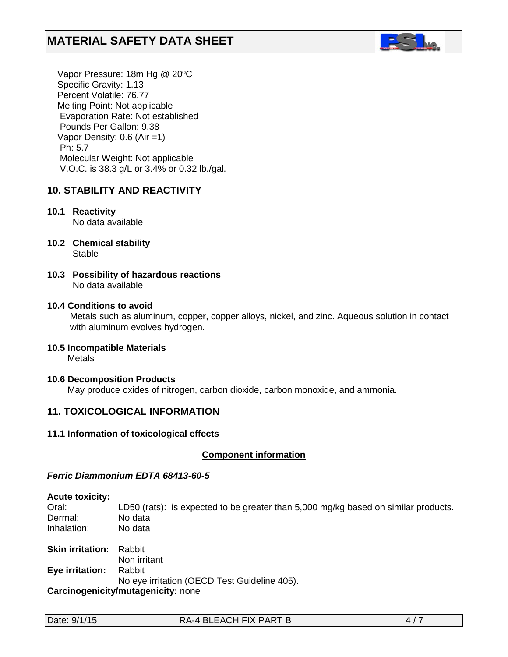

 Vapor Pressure: 18m Hg @ 20ºC Specific Gravity: 1.13 Percent Volatile: 76.77 Melting Point: Not applicable Evaporation Rate: Not established Pounds Per Gallon: 9.38 Vapor Density: 0.6 (Air =1) Ph: 5.7 Molecular Weight: Not applicable V.O.C. is 38.3 g/L or 3.4% or 0.32 lb./gal.

# **10. STABILITY AND REACTIVITY**

# **10.1 Reactivity**

No data available

- **10.2 Chemical stability** Stable
- **10.3 Possibility of hazardous reactions** No data available

# **10.4 Conditions to avoid**

Metals such as aluminum, copper, copper alloys, nickel, and zinc. Aqueous solution in contact with aluminum evolves hydrogen.

# **10.5 Incompatible Materials**

Metals

#### **10.6 Decomposition Products**

May produce oxides of nitrogen, carbon dioxide, carbon monoxide, and ammonia.

# **11. TOXICOLOGICAL INFORMATION**

#### **11.1 Information of toxicological effects**

#### **Component information**

#### *Ferric Diammonium EDTA 68413-60-5*

#### **Acute toxicity:**

Oral: LD50 (rats): is expected to be greater than 5,000 mg/kg based on similar products. Dermal: No data Inhalation: No data

**Skin irritation:** Rabbit Non irritant **Eye irritation:** Rabbit No eye irritation (OECD Test Guideline 405). **Carcinogenicity/mutagenicity:** none

Date: 9/1/15 RA-4 BLEACH FIX PART B 4/7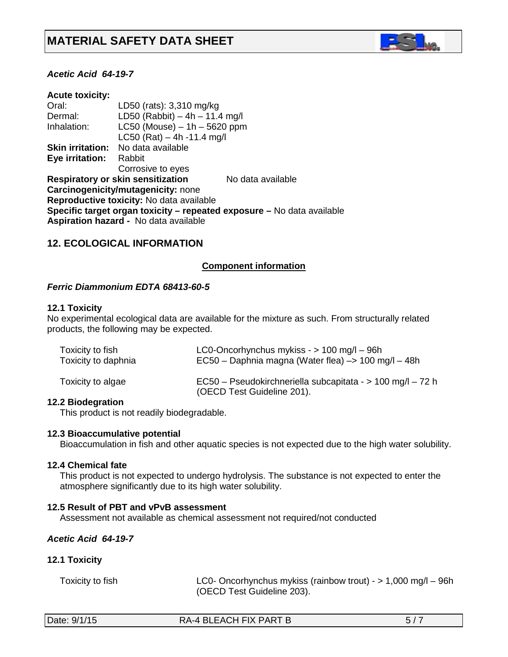

### *Acetic Acid 64-19-7*

| LD50 (rats): 3,310 mg/kg                     |                                                                        |
|----------------------------------------------|------------------------------------------------------------------------|
| LD50 (Rabbit) $-4h - 11.4$ mg/l              |                                                                        |
| $LC50$ (Mouse) $-1h - 5620$ ppm              |                                                                        |
| LC50 (Rat) $-4h -11.4$ mg/l                  |                                                                        |
| No data available                            |                                                                        |
| Rabbit                                       |                                                                        |
| Corrosive to eyes                            |                                                                        |
| <b>Respiratory or skin sensitization</b>     | No data available                                                      |
| Carcinogenicity/mutagenicity: none           |                                                                        |
| Reproductive toxicity: No data available     |                                                                        |
|                                              | Specific target organ toxicity – repeated exposure – No data available |
| <b>Aspiration hazard - No data available</b> |                                                                        |
|                                              |                                                                        |

# **12. ECOLOGICAL INFORMATION**

#### *<sup>U</sup>***Component information**

#### *Ferric Diammonium EDTA 68413-60-5*

#### **12.1 Toxicity**

No experimental ecological data are available for the mixture as such. From structurally related products, the following may be expected.

| Toxicity to fish    | LC0-Oncorhynchus mykiss - $> 100$ mg/l - 96h                                             |  |  |
|---------------------|------------------------------------------------------------------------------------------|--|--|
| Toxicity to daphnia | EC50 – Daphnia magna (Water flea) –> 100 mg/l – 48h                                      |  |  |
| Toxicity to algae   | EC50 - Pseudokirchneriella subcapitata - > 100 mg/l - 72 h<br>(OECD Test Guideline 201). |  |  |

#### **12.2 Biodegration**

This product is not readily biodegradable.

#### **12.3 Bioaccumulative potential**

Bioaccumulation in fish and other aquatic species is not expected due to the high water solubility.

#### **12.4 Chemical fate**

This product is not expected to undergo hydrolysis. The substance is not expected to enter the atmosphere significantly due to its high water solubility.

#### **12.5 Result of PBT and vPvB assessment**

Assessment not available as chemical assessment not required/not conducted

#### *Acetic Acid 64-19-7*

#### **12.1 Toxicity**

 Toxicity to fish LC0- Oncorhynchus mykiss (rainbow trout) - > 1,000 mg/l – 96h (OECD Test Guideline 203).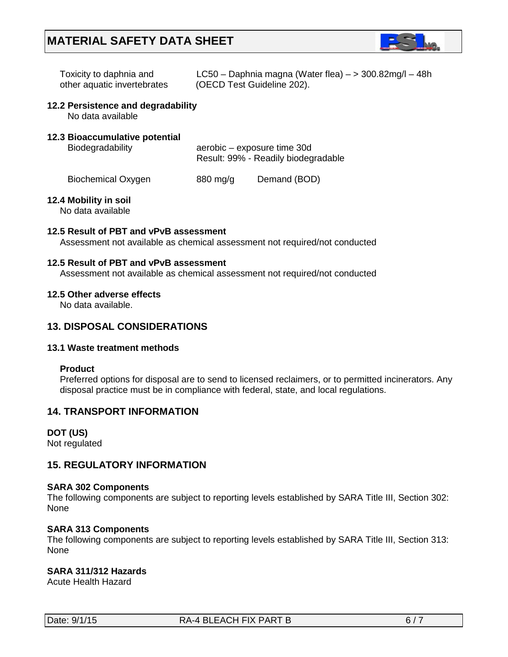

| Toxicity to daphnia and     | LC50 - Daphnia magna (Water flea) $-$ > 300.82mg/l - 48h |
|-----------------------------|----------------------------------------------------------|
| other aquatic invertebrates | (OECD Test Guideline 202).                               |

#### **12.2 Persistence and degradability**

No data available

# **12.3 Bioaccumulative potential**

Biodegradability **aerobic** – exposure time 30d Result: 99% - Readily biodegradable

Biochemical Oxygen 880 mg/g Demand (BOD)

#### **12.4 Mobility in soil**

No data available

#### **12.5 Result of PBT and vPvB assessment**

Assessment not available as chemical assessment not required/not conducted

#### **12.5 Result of PBT and vPvB assessment**

Assessment not available as chemical assessment not required/not conducted

#### **12.5 Other adverse effects**

No data available.

# **13. DISPOSAL CONSIDERATIONS**

#### **13.1 Waste treatment methods**

#### **Product**

Preferred options for disposal are to send to licensed reclaimers, or to permitted incinerators. Any disposal practice must be in compliance with federal, state, and local regulations.

# **14. TRANSPORT INFORMATION**

# **DOT (US)**

Not regulated

# **15. REGULATORY INFORMATION**

#### **SARA 302 Components**

The following components are subject to reporting levels established by SARA Title III, Section 302: None

# **SARA 313 Components**

The following components are subject to reporting levels established by SARA Title III, Section 313: None

# **SARA 311/312 Hazards**

Acute Health Hazard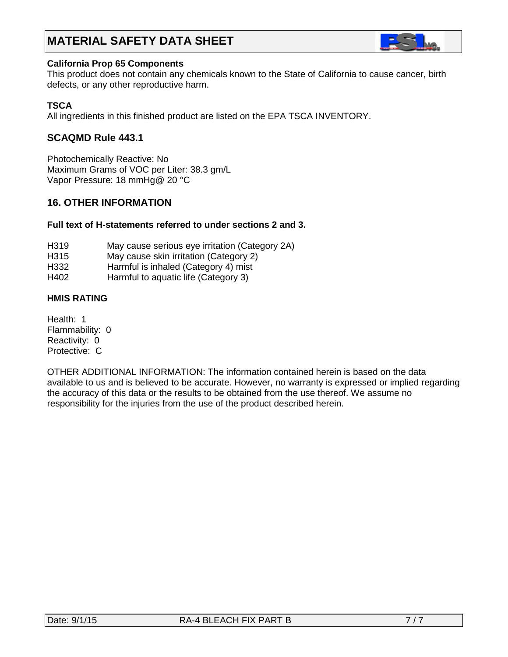

#### **California Prop 65 Components**

This product does not contain any chemicals known to the State of California to cause cancer, birth defects, or any other reproductive harm.

# **TSCA**

All ingredients in this finished product are listed on the EPA TSCA INVENTORY.

# **SCAQMD Rule 443.1**

Photochemically Reactive: No Maximum Grams of VOC per Liter: 38.3 gm/L Vapor Pressure: 18 mmHg@ 20 °C

# **16. OTHER INFORMATION**

# **Full text of H-statements referred to under sections 2 and 3.**

- H319 May cause serious eye irritation (Category 2A)
- H315 May cause skin irritation (Category 2)
- H332 Harmful is inhaled (Category 4) mist
- H402 Harmful to aquatic life (Category 3)

# **HMIS RATING**

Health: 1 Flammability: 0 Reactivity: 0 Protective: C

OTHER ADDITIONAL INFORMATION: The information contained herein is based on the data available to us and is believed to be accurate. However, no warranty is expressed or implied regarding the accuracy of this data or the results to be obtained from the use thereof. We assume no responsibility for the injuries from the use of the product described herein.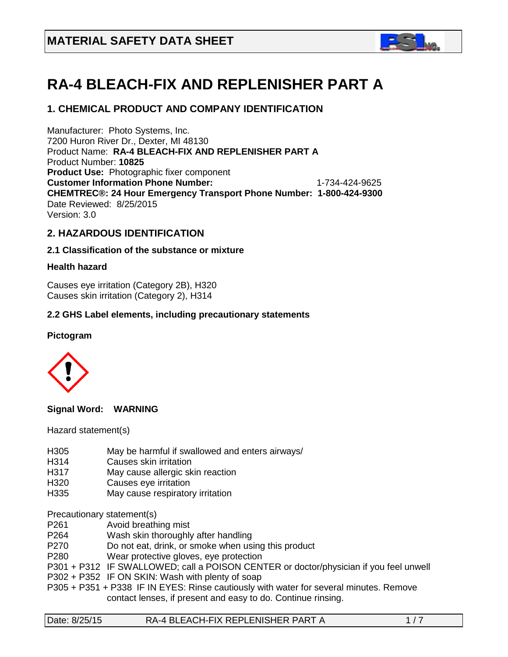

# **RA-4 BLEACH-FIX AND REPLENISHER PART A**

# **1. CHEMICAL PRODUCT AND COMPANY IDENTIFICATION**

Manufacturer: Photo Systems, Inc. 7200 Huron River Dr., Dexter, MI 48130 Product Name: **RA-4 BLEACH-FIX AND REPLENISHER PART A** Product Number: **10825 Product Use:** Photographic fixer component **Customer Information Phone Number:** 1-734-424-9625 **CHEMTREC®: 24 Hour Emergency Transport Phone Number: 1-800-424-9300**  Date Reviewed: 8/25/2015 Version: 3.0

# **2. HAZARDOUS IDENTIFICATION**

#### **2.1 Classification of the substance or mixture**

#### **Health hazard**

Causes eye irritation (Category 2B), H320 Causes skin irritation (Category 2), H314

#### **2.2 GHS Label elements, including precautionary statements**

#### **Pictogram**



**Signal Word: WARNING** 

Hazard statement(s)

- H305 May be harmful if swallowed and enters airways/<br>H314 Causes skin irritation
- Causes skin irritation
- H317 May cause allergic skin reaction
- H320 Causes eye irritation
- H335 May cause respiratory irritation

Precautionary statement(s)<br>P261 Avoid breath

- Avoid breathing mist
- P264 Wash skin thoroughly after handling
- P270 Do not eat, drink, or smoke when using this product
- P280 Wear protective gloves, eye protection
- P301 + P312 IF SWALLOWED; call a POISON CENTER or doctor/physician if you feel unwell
- P302 + P352 IF ON SKIN: Wash with plenty of soap
- P305 + P351 + P338 IF IN EYES: Rinse cautiously with water for several minutes. Remove contact lenses, if present and easy to do. Continue rinsing.

| RA-4 BLEACH-FIX REPLENISHER PART A<br>Date: 8/25/15 | 1/7 |
|-----------------------------------------------------|-----|
|-----------------------------------------------------|-----|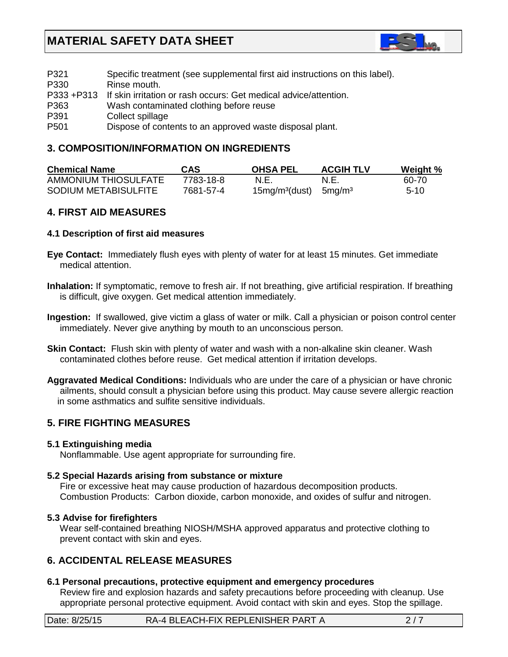

| P321             | Specific treatment (see supplemental first aid instructions on this label). |
|------------------|-----------------------------------------------------------------------------|
| P330             | Rinse mouth.                                                                |
|                  | P333 +P313 If skin irritation or rash occurs: Get medical advice/attention. |
| P363             | Wash contaminated clothing before reuse                                     |
| P <sub>391</sub> | Collect spillage                                                            |
| P <sub>501</sub> | Dispose of contents to an approved waste disposal plant.                    |

# **3. COMPOSITION/INFORMATION ON INGREDIENTS**

| <b>Chemical Name</b> | CAS       | <b>OHSA PEL</b>                    | <b>ACGIH TLV</b> | Weight % |
|----------------------|-----------|------------------------------------|------------------|----------|
| AMMONIUM THIOSULFATE | 7783-18-8 | N.E.                               | N.E.             | 60-70    |
| SODIUM METABISULFITE | 7681-57-4 | $15mg/m3(dust)$ 5mg/m <sup>3</sup> |                  | $5-10$   |

# **4. FIRST AID MEASURES**

#### **4.1 Description of first aid measures**

- **Eye Contact:** Immediately flush eyes with plenty of water for at least 15 minutes. Get immediate medical attention.
- **Inhalation:** If symptomatic, remove to fresh air. If not breathing, give artificial respiration. If breathing is difficult, give oxygen. Get medical attention immediately.
- **Ingestion:** If swallowed, give victim a glass of water or milk. Call a physician or poison control center immediately. Never give anything by mouth to an unconscious person.
- **Skin Contact:** Flush skin with plenty of water and wash with a non-alkaline skin cleaner. Wash contaminated clothes before reuse. Get medical attention if irritation develops.
- **Aggravated Medical Conditions:** Individuals who are under the care of a physician or have chronic ailments, should consult a physician before using this product. May cause severe allergic reaction in some asthmatics and sulfite sensitive individuals.

# **5. FIRE FIGHTING MEASURES**

#### **5.1 Extinguishing media**

Nonflammable. Use agent appropriate for surrounding fire.

#### **5.2 Special Hazards arising from substance or mixture**

 Fire or excessive heat may cause production of hazardous decomposition products. Combustion Products: Carbon dioxide, carbon monoxide, and oxides of sulfur and nitrogen.

#### **5.3 Advise for firefighters**

Wear self-contained breathing NIOSH/MSHA approved apparatus and protective clothing to prevent contact with skin and eyes.

# **6. ACCIDENTAL RELEASE MEASURES**

# **6.1 Personal precautions, protective equipment and emergency procedures**

 Review fire and explosion hazards and safety precautions before proceeding with cleanup. Use appropriate personal protective equipment. Avoid contact with skin and eyes. Stop the spillage.

| Date: 8/25/15 | $\,$ RA-4 BLEACH-FIX REPLENISHER PART A $\,$ |  |
|---------------|----------------------------------------------|--|
|---------------|----------------------------------------------|--|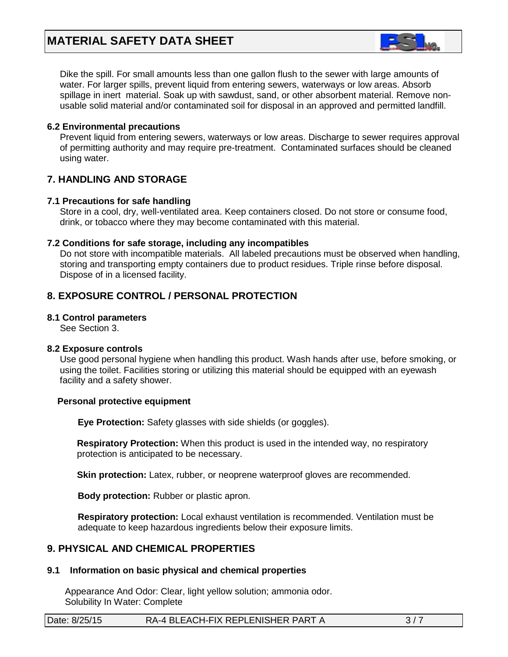

 Dike the spill. For small amounts less than one gallon flush to the sewer with large amounts of water. For larger spills, prevent liquid from entering sewers, waterways or low areas. Absorb spillage in inert material. Soak up with sawdust, sand, or other absorbent material. Remove non usable solid material and/or contaminated soil for disposal in an approved and permitted landfill.

#### **6.2 Environmental precautions**

 Prevent liquid from entering sewers, waterways or low areas. Discharge to sewer requires approval of permitting authority and may require pre-treatment. Contaminated surfaces should be cleaned using water.

# **7. HANDLING AND STORAGE**

#### **7.1 Precautions for safe handling**

 Store in a cool, dry, well-ventilated area. Keep containers closed. Do not store or consume food, drink, or tobacco where they may become contaminated with this material.

#### **7.2 Conditions for safe storage, including any incompatibles**

Do not store with incompatible materials. All labeled precautions must be observed when handling, storing and transporting empty containers due to product residues. Triple rinse before disposal. Dispose of in a licensed facility.

# **8. EXPOSURE CONTROL / PERSONAL PROTECTION**

#### **8.1 Control parameters**

See Section 3.

# **8.2 Exposure controls**

Use good personal hygiene when handling this product. Wash hands after use, before smoking, or using the toilet. Facilities storing or utilizing this material should be equipped with an eyewash facility and a safety shower.

#### **Personal protective equipment**

**Eye Protection:** Safety glasses with side shields (or goggles).

**Respiratory Protection:** When this product is used in the intended way, no respiratory protection is anticipated to be necessary.

**Skin protection:** Latex, rubber, or neoprene waterproof gloves are recommended.

 **Body protection:** Rubber or plastic apron.

 **Respiratory protection:** Local exhaust ventilation is recommended. Ventilation must be adequate to keep hazardous ingredients below their exposure limits.

# **9. PHYSICAL AND CHEMICAL PROPERTIES**

# **9.1 Information on basic physical and chemical properties**

Appearance And Odor: Clear, light yellow solution; ammonia odor. Solubility In Water: Complete

| RA-4 BLEACH-FIX REPLENISHER PART A<br>Date: 8/25/15 |  |  |
|-----------------------------------------------------|--|--|
|-----------------------------------------------------|--|--|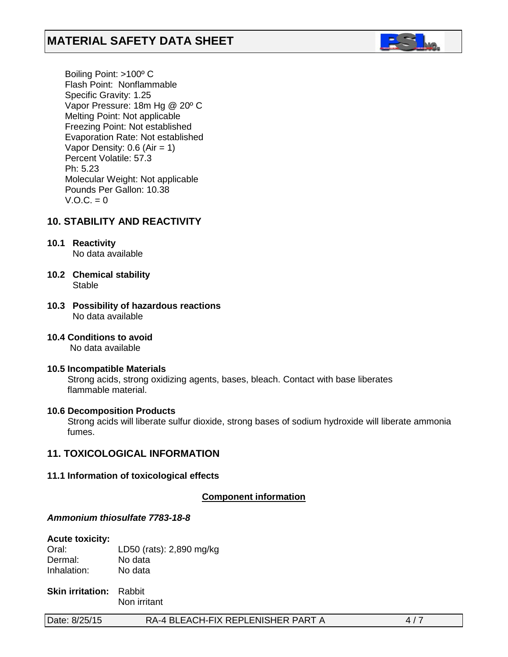

 Boiling Point: >100º C Flash Point: Nonflammable Specific Gravity: 1.25 Vapor Pressure: 18m Hg @ 20º C Melting Point: Not applicable Freezing Point: Not established Evaporation Rate: Not established Vapor Density:  $0.6$  (Air = 1) Percent Volatile: 57.3 Ph: 5.23 Molecular Weight: Not applicable Pounds Per Gallon: 10.38  $V.O.C. = 0$ 

# **10. STABILITY AND REACTIVITY**

- **10.1 Reactivity** No data available
- **10.2 Chemical stability** Stable
- **10.3 Possibility of hazardous reactions** No data available
- **10.4 Conditions to avoid** No data available
- **10.5 Incompatible Materials** Strong acids, strong oxidizing agents, bases, bleach. Contact with base liberates flammable material.

#### **10.6 Decomposition Products**

Strong acids will liberate sulfur dioxide, strong bases of sodium hydroxide will liberate ammonia fumes.

# **11. TOXICOLOGICAL INFORMATION**

#### **11.1 Information of toxicological effects**

**Component information** 

#### *Ammonium thiosulfate 7783-18-8*

#### **Acute toxicity:**

Oral: LD50 (rats): 2,890 mg/kg Dermal: No data<br>
Inhalation: No data Inhalation:

**Skin irritation:** Rabbit Non irritant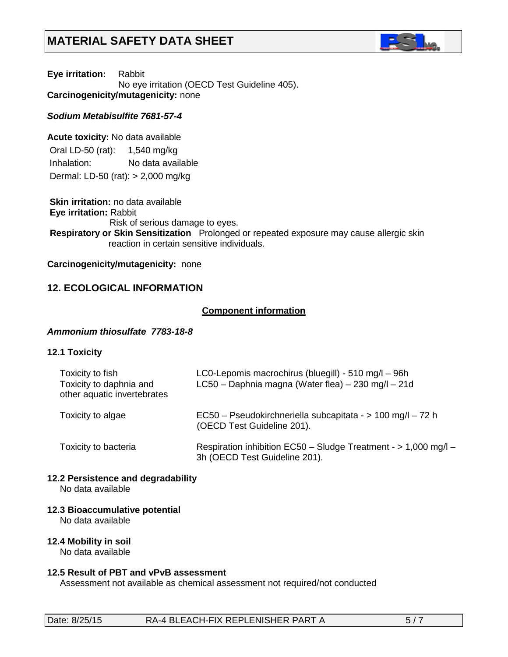

**Eye irritation:** Rabbit No eye irritation (OECD Test Guideline 405). **Carcinogenicity/mutagenicity:** none

### *Sodium Metabisulfite 7681-57-4*

**Acute toxicity:** No data available Oral LD-50 (rat): 1,540 mg/kg

Inhalation: No data available

Dermal: LD-50 (rat): > 2,000 mg/kg

**Skin irritation:** no data available **Eye irritation:** Rabbit Risk of serious damage to eyes. **Respiratory or Skin Sensitization** Prolonged or repeated exposure may cause allergic skin reaction in certain sensitive individuals.

#### **Carcinogenicity/mutagenicity:** none

# **12. ECOLOGICAL INFORMATION**

# *<sup>U</sup>***Component information**

#### *Ammonium thiosulfate 7783-18-8*

#### **12.1 Toxicity**

| Toxicity to fish<br>Toxicity to daphnia and<br>other aquatic invertebrates | LC0-Lepomis macrochirus (bluegill) - 510 mg/l - 96h<br>LC50 - Daphnia magna (Water flea) - 230 mg/l - 21d |
|----------------------------------------------------------------------------|-----------------------------------------------------------------------------------------------------------|
| Toxicity to algae                                                          | EC50 - Pseudokirchneriella subcapitata - > 100 mg/l - 72 h<br>(OECD Test Guideline 201).                  |
| Toxicity to bacteria                                                       | Respiration inhibition EC50 - Sludge Treatment - > 1,000 mg/l -<br>3h (OECD Test Guideline 201).          |

# **12.2 Persistence and degradability**

No data available

#### **12.3 Bioaccumulative potential**

No data available

#### **12.4 Mobility in soil**

No data available

#### **12.5 Result of PBT and vPvB assessment**

Assessment not available as chemical assessment not required/not conducted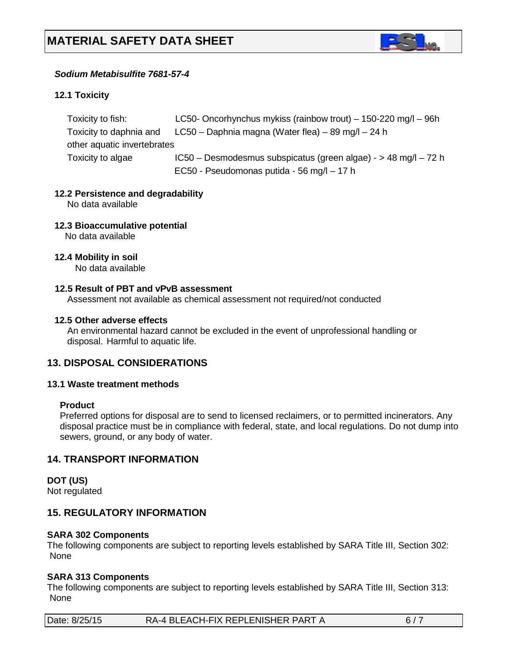

# *Sodium Metabisulfite 7681-57-4*

# **12.1 Toxicity**

| Toxicity to fish:           | LC50- Oncorhynchus mykiss (rainbow trout) $-$ 150-220 mg/l $-$ 96h |
|-----------------------------|--------------------------------------------------------------------|
| Toxicity to daphnia and     | LC50 – Daphnia magna (Water flea) – 89 mg/l – 24 h                 |
| other aquatic invertebrates |                                                                    |
| Toxicity to algae           | $IC50 - Desmodesmus subspicatus (green algae) - > 48 mg/l - 72 h$  |
|                             | EC50 - Pseudomonas putida - 56 mg/l - 17 h                         |
|                             |                                                                    |

#### **12.2 Persistence and degradability**

No data available

# **12.3 Bioaccumulative potential**

No data available

#### **12.4 Mobility in soil**

No data available

#### **12.5 Result of PBT and vPvB assessment**

Assessment not available as chemical assessment not required/not conducted

#### **12.5 Other adverse effects**

An environmental hazard cannot be excluded in the event of unprofessional handling or disposal. Harmful to aquatic life.

# **13. DISPOSAL CONSIDERATIONS**

#### **13.1 Waste treatment methods**

#### **Product**

Preferred options for disposal are to send to licensed reclaimers, or to permitted incinerators. Any disposal practice must be in compliance with federal, state, and local regulations. Do not dump into sewers, ground, or any body of water.

#### **14. TRANSPORT INFORMATION**

# **DOT (US)**

Not regulated

# **15. REGULATORY INFORMATION**

#### **SARA 302 Components**

The following components are subject to reporting levels established by SARA Title III, Section 302: None

#### **SARA 313 Components**

The following components are subject to reporting levels established by SARA Title III, Section 313: None

| Date: 8/25/15 | RA-4 BLEACH-FIX REPLENISHER PART A |  |
|---------------|------------------------------------|--|
|               |                                    |  |